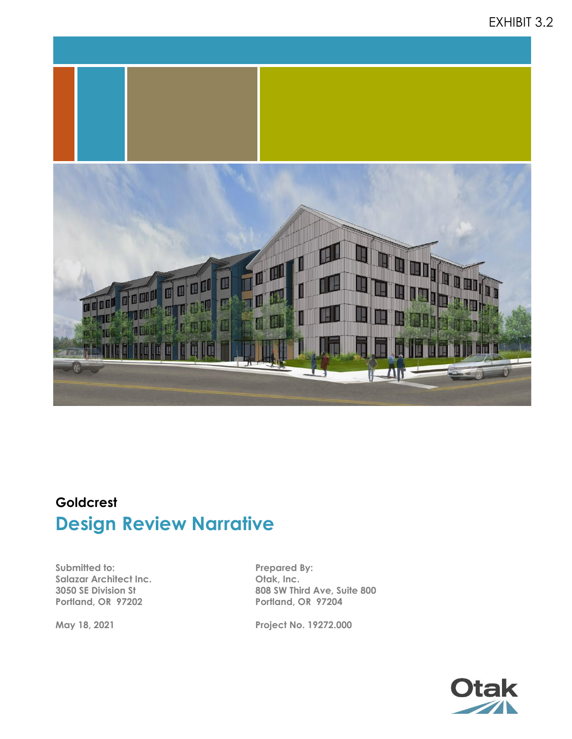# EXHIBIT 3.2



# **Goldcrest Design Review Narrative**

**Submitted to: Salazar Architect Inc. 3050 SE Division St Portland, OR 97202**

**May 18, 2021**

**Prepared By: Otak, Inc. 808 SW Third Ave, Suite 800 Portland, OR 97204**

**Project No. 19272.000**

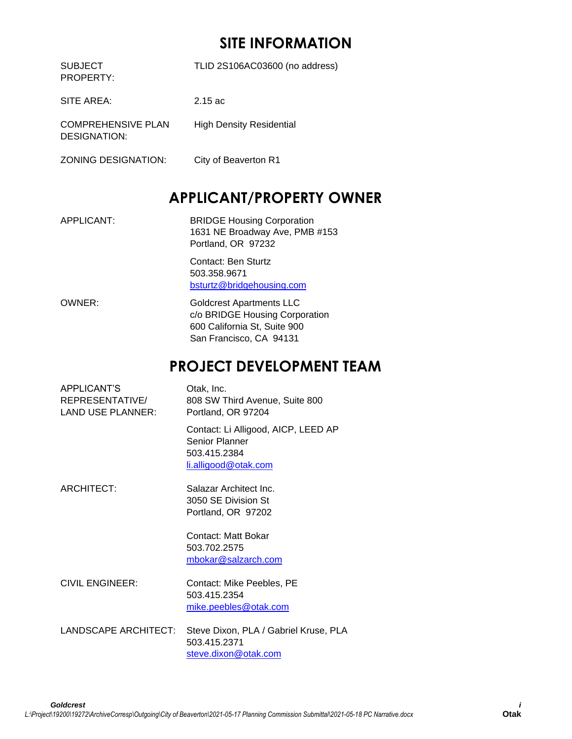# **SITE INFORMATION**

| <b>SUBJECT</b><br>PROPERTY:               | TLID 2S106AC03600 (no address)  |
|-------------------------------------------|---------------------------------|
| SITE AREA:                                | $2.15$ ac                       |
| <b>COMPREHENSIVE PLAN</b><br>DESIGNATION: | <b>High Density Residential</b> |
| <b>ZONING DESIGNATION:</b>                | City of Beaverton R1            |

# **APPLICANT/PROPERTY OWNER**

APPLICANT: BRIDGE Housing Corporation 1631 NE Broadway Ave, PMB #153 Portland, OR 97232

> Contact: Ben Sturtz 503.358.9671 [bsturtz@bridgehousing.com](mailto:jmetcalf@wishcamperpartners.com)

OWNER: Goldcrest Apartments LLC c/o BRIDGE Housing Corporation 600 California St, Suite 900 San Francisco, CA 94131

# **PROJECT DEVELOPMENT TEAM**

| <b>APPLICANT'S</b><br>REPRESENTATIVE/<br><b>LAND USE PLANNER:</b> | Otak, Inc.<br>808 SW Third Avenue, Suite 800<br>Portland, OR 97204                            |
|-------------------------------------------------------------------|-----------------------------------------------------------------------------------------------|
|                                                                   | Contact: Li Alligood, AICP, LEED AP<br>Senior Planner<br>503.415.2384<br>li.alligood@otak.com |
| ARCHITECT:                                                        | Salazar Architect Inc.<br>3050 SE Division St<br>Portland, OR 97202                           |
|                                                                   | Contact: Matt Bokar<br>503.702.2575<br>mbokar@salzarch.com                                    |
| <b>CIVIL ENGINEER:</b>                                            | Contact: Mike Peebles, PE<br>503.415.2354<br>mike.peebles@otak.com                            |
| LANDSCAPE ARCHITECT:                                              | Steve Dixon, PLA / Gabriel Kruse, PLA<br>503.415.2371<br>steve.dixon@otak.com                 |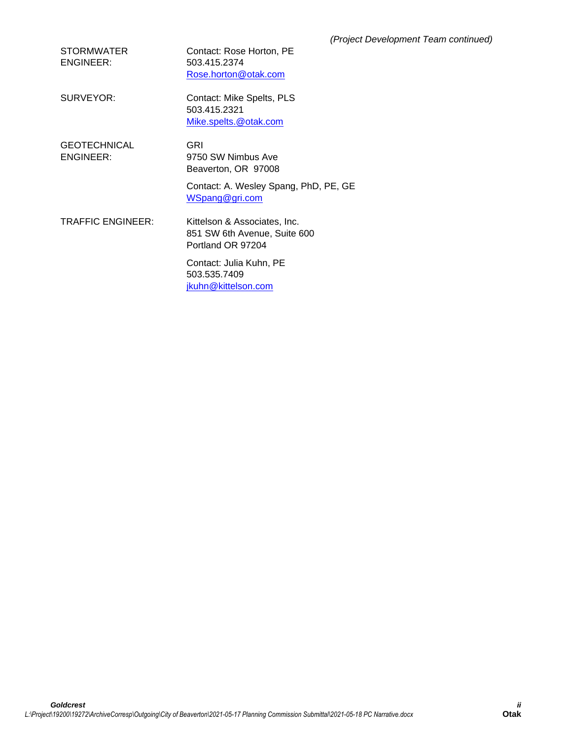| <b>STORMWATER</b> | Contact: Rose Horton, PE |
|-------------------|--------------------------|
| ENGINEER:         | 503.415.2374             |
|                   | Rose.horton@otak.com     |

SURVEYOR: Contact: Mike Spelts, PLS 503.415.2321 [Mike.spelts.@otak.com](mailto:Mike.spelts.@otak.com)

**GEOTECHNICAL** ENGINEER:

GRI 9750 SW Nimbus Ave Beaverton, OR 97008

Contact: A. Wesley Spang, PhD, PE, GE [WSpang@gri.com](mailto:WSpang@gri.com)

TRAFFIC ENGINEER: Kittelson & Associates, Inc. 851 SW 6th Avenue, Suite 600 Portland OR 97204

> Contact: Julia Kuhn, PE 503.535.7409 jkuhn@kittelson.com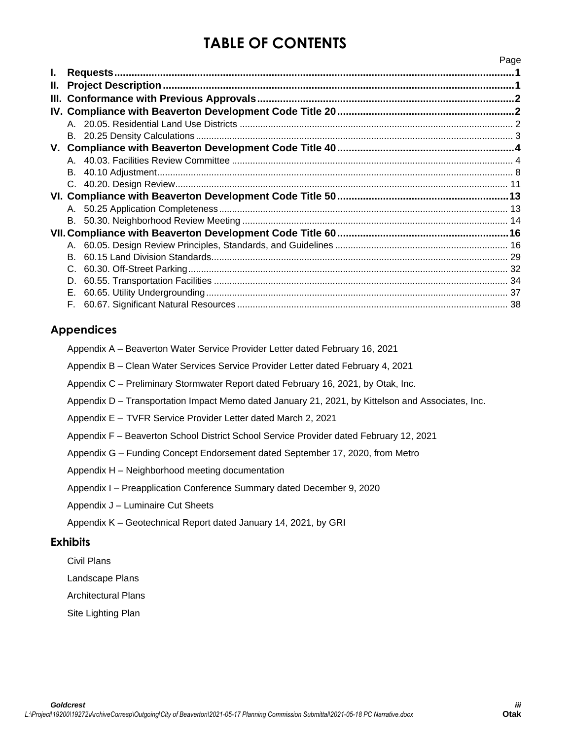# **TABLE OF CONTENTS**

|      |    | Page |
|------|----|------|
| I.   |    |      |
| II.  |    |      |
| III. |    |      |
|      |    |      |
|      |    |      |
|      |    |      |
|      |    |      |
|      |    |      |
|      | В. |      |
|      |    |      |
|      |    |      |
|      |    |      |
|      | В. |      |
|      |    |      |
|      |    |      |
|      | B. |      |
|      |    |      |
|      | D. |      |
|      | Е. |      |
|      |    |      |
|      |    |      |

# **Appendices**

| Appendix A – Beaverton Water Service Provider Letter dated February 16, 2021 |  |  |  |  |  |
|------------------------------------------------------------------------------|--|--|--|--|--|
|                                                                              |  |  |  |  |  |

Appendix B – Clean Water Services Service Provider Letter dated February 4, 2021

- Appendix C Preliminary Stormwater Report dated February 16, 2021, by Otak, Inc.
- Appendix D Transportation Impact Memo dated January 21, 2021, by Kittelson and Associates, Inc.
- Appendix E TVFR Service Provider Letter dated March 2, 2021
- Appendix F Beaverton School District School Service Provider dated February 12, 2021
- Appendix G Funding Concept Endorsement dated September 17, 2020, from Metro
- Appendix H Neighborhood meeting documentation
- Appendix I Preapplication Conference Summary dated December 9, 2020
- Appendix J Luminaire Cut Sheets
- Appendix K Geotechnical Report dated January 14, 2021, by GRI

# **Exhibits**

- Civil Plans
- Landscape Plans
- Architectural Plans
- Site Lighting Plan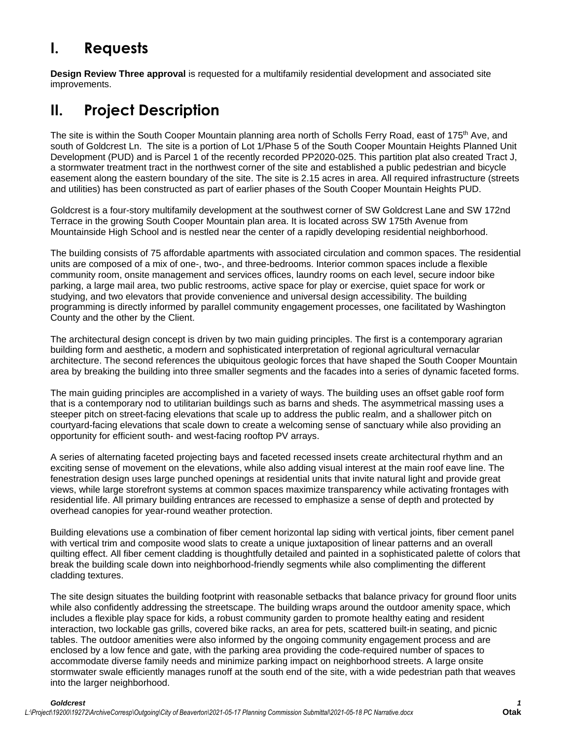# **I. Requests**

**Design Review Three approval** is requested for a multifamily residential development and associated site improvements.

# **II. Project Description**

The site is within the South Cooper Mountain planning area north of Scholls Ferry Road, east of 175<sup>th</sup> Ave, and south of Goldcrest Ln. The site is a portion of Lot 1/Phase 5 of the South Cooper Mountain Heights Planned Unit Development (PUD) and is Parcel 1 of the recently recorded PP2020-025. This partition plat also created Tract J, a stormwater treatment tract in the northwest corner of the site and established a public pedestrian and bicycle easement along the eastern boundary of the site. The site is 2.15 acres in area. All required infrastructure (streets and utilities) has been constructed as part of earlier phases of the South Cooper Mountain Heights PUD.

Goldcrest is a four-story multifamily development at the southwest corner of SW Goldcrest Lane and SW 172nd Terrace in the growing South Cooper Mountain plan area. It is located across SW 175th Avenue from Mountainside High School and is nestled near the center of a rapidly developing residential neighborhood.

The building consists of 75 affordable apartments with associated circulation and common spaces. The residential units are composed of a mix of one-, two-, and three-bedrooms. Interior common spaces include a flexible community room, onsite management and services offices, laundry rooms on each level, secure indoor bike parking, a large mail area, two public restrooms, active space for play or exercise, quiet space for work or studying, and two elevators that provide convenience and universal design accessibility. The building programming is directly informed by parallel community engagement processes, one facilitated by Washington County and the other by the Client.

The architectural design concept is driven by two main guiding principles. The first is a contemporary agrarian building form and aesthetic, a modern and sophisticated interpretation of regional agricultural vernacular architecture. The second references the ubiquitous geologic forces that have shaped the South Cooper Mountain area by breaking the building into three smaller segments and the facades into a series of dynamic faceted forms.

The main guiding principles are accomplished in a variety of ways. The building uses an offset gable roof form that is a contemporary nod to utilitarian buildings such as barns and sheds. The asymmetrical massing uses a steeper pitch on street-facing elevations that scale up to address the public realm, and a shallower pitch on courtyard-facing elevations that scale down to create a welcoming sense of sanctuary while also providing an opportunity for efficient south- and west-facing rooftop PV arrays.

A series of alternating faceted projecting bays and faceted recessed insets create architectural rhythm and an exciting sense of movement on the elevations, while also adding visual interest at the main roof eave line. The fenestration design uses large punched openings at residential units that invite natural light and provide great views, while large storefront systems at common spaces maximize transparency while activating frontages with residential life. All primary building entrances are recessed to emphasize a sense of depth and protected by overhead canopies for year-round weather protection.

Building elevations use a combination of fiber cement horizontal lap siding with vertical joints, fiber cement panel with vertical trim and composite wood slats to create a unique juxtaposition of linear patterns and an overall quilting effect. All fiber cement cladding is thoughtfully detailed and painted in a sophisticated palette of colors that break the building scale down into neighborhood-friendly segments while also complimenting the different cladding textures.

The site design situates the building footprint with reasonable setbacks that balance privacy for ground floor units while also confidently addressing the streetscape. The building wraps around the outdoor amenity space, which includes a flexible play space for kids, a robust community garden to promote healthy eating and resident interaction, two lockable gas grills, covered bike racks, an area for pets, scattered built-in seating, and picnic tables. The outdoor amenities were also informed by the ongoing community engagement process and are enclosed by a low fence and gate, with the parking area providing the code-required number of spaces to accommodate diverse family needs and minimize parking impact on neighborhood streets. A large onsite stormwater swale efficiently manages runoff at the south end of the site, with a wide pedestrian path that weaves into the larger neighborhood.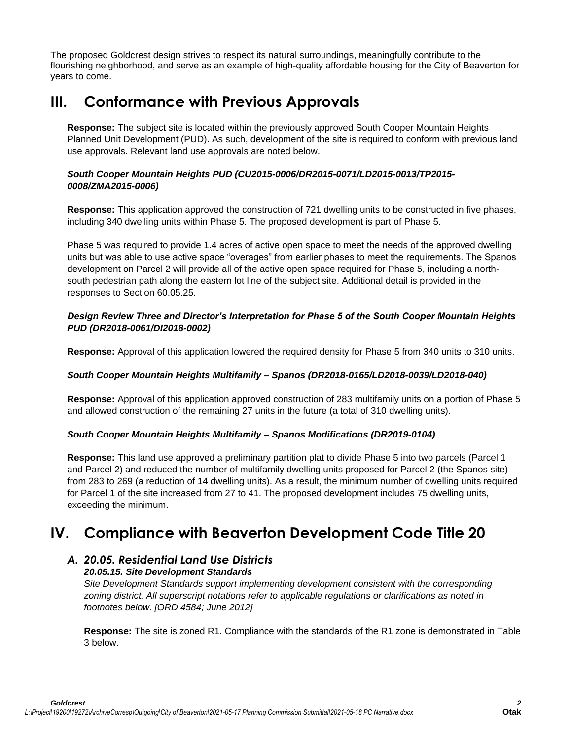The proposed Goldcrest design strives to respect its natural surroundings, meaningfully contribute to the flourishing neighborhood, and serve as an example of high-quality affordable housing for the City of Beaverton for years to come.

# **III. Conformance with Previous Approvals**

**Response:** The subject site is located within the previously approved South Cooper Mountain Heights Planned Unit Development (PUD). As such, development of the site is required to conform with previous land use approvals. Relevant land use approvals are noted below.

# *South Cooper Mountain Heights PUD (CU2015-0006/DR2015-0071/LD2015-0013/TP2015- 0008/ZMA2015-0006)*

**Response:** This application approved the construction of 721 dwelling units to be constructed in five phases, including 340 dwelling units within Phase 5. The proposed development is part of Phase 5.

Phase 5 was required to provide 1.4 acres of active open space to meet the needs of the approved dwelling units but was able to use active space "overages" from earlier phases to meet the requirements. The Spanos development on Parcel 2 will provide all of the active open space required for Phase 5, including a northsouth pedestrian path along the eastern lot line of the subject site. Additional detail is provided in the responses to Section 60.05.25.

## *Design Review Three and Director's Interpretation for Phase 5 of the South Cooper Mountain Heights PUD (DR2018-0061/DI2018-0002)*

**Response:** Approval of this application lowered the required density for Phase 5 from 340 units to 310 units.

## *South Cooper Mountain Heights Multifamily – Spanos (DR2018-0165/LD2018-0039/LD2018-040)*

**Response:** Approval of this application approved construction of 283 multifamily units on a portion of Phase 5 and allowed construction of the remaining 27 units in the future (a total of 310 dwelling units).

## *South Cooper Mountain Heights Multifamily – Spanos Modifications (DR2019-0104)*

**Response:** This land use approved a preliminary partition plat to divide Phase 5 into two parcels (Parcel 1 and Parcel 2) and reduced the number of multifamily dwelling units proposed for Parcel 2 (the Spanos site) from 283 to 269 (a reduction of 14 dwelling units). As a result, the minimum number of dwelling units required for Parcel 1 of the site increased from 27 to 41. The proposed development includes 75 dwelling units, exceeding the minimum.

# **IV. Compliance with Beaverton Development Code Title 20**

# *A. 20.05. Residential Land Use Districts*

# *20.05.15. Site Development Standards*

*Site Development Standards support implementing development consistent with the corresponding zoning district. All superscript notations refer to applicable regulations or clarifications as noted in footnotes below. [ORD 4584; June 2012]*

**Response:** The site is zoned R1. Compliance with the standards of the R1 zone is demonstrated in Table 3 below.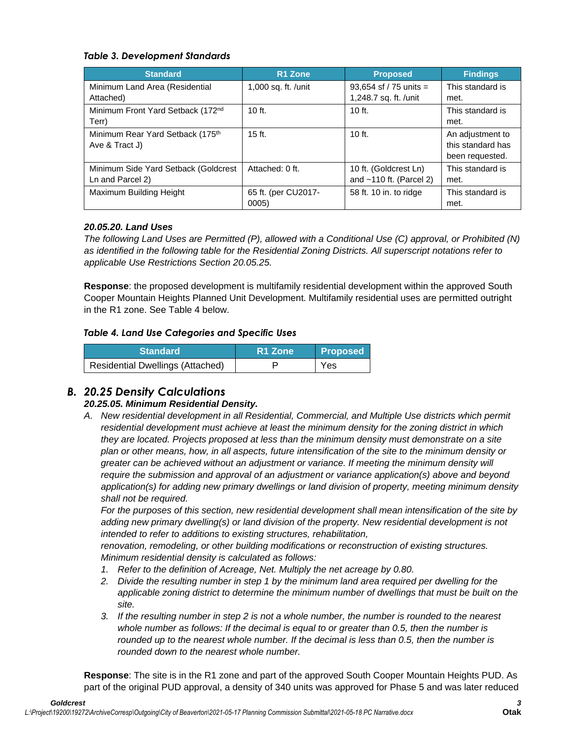# *Table 3. Development Standards*

| <b>Standard</b>                                          | R <sub>1</sub> Zone          | <b>Proposed</b>                                    | <b>Findings</b>                                          |
|----------------------------------------------------------|------------------------------|----------------------------------------------------|----------------------------------------------------------|
| Minimum Land Area (Residential<br>Attached)              | 1,000 sq. ft. /unit          | 93,654 sf / 75 units =<br>1,248.7 sq. ft. /unit    | This standard is<br>met.                                 |
| Minimum Front Yard Setback (172nd<br>Terr)               | $10$ ft.                     | $10$ ft.                                           | This standard is<br>met.                                 |
| Minimum Rear Yard Setback (175th<br>Ave & Tract J)       | $15$ ft.                     | $10$ ft.                                           | An adjustment to<br>this standard has<br>been requested. |
| Minimum Side Yard Setback (Goldcrest<br>Ln and Parcel 2) | Attached: 0 ft.              | 10 ft. (Goldcrest Ln)<br>and $~110$ ft. (Parcel 2) | This standard is<br>met.                                 |
| Maximum Building Height                                  | 65 ft. (per CU2017-<br>0005) | 58 ft. 10 in. to ridge                             | This standard is<br>met.                                 |

# *20.05.20. Land Uses*

*The following Land Uses are Permitted (P), allowed with a Conditional Use (C) approval, or Prohibited (N) as identified in the following table for the Residential Zoning Districts. All superscript notations refer to applicable Use Restrictions Section 20.05.25.*

**Response**: the proposed development is multifamily residential development within the approved South Cooper Mountain Heights Planned Unit Development. Multifamily residential uses are permitted outright in the R1 zone. See Table 4 below.

# *Table 4. Land Use Categories and Specific Uses*

| <b>Standard</b>                         | R <sub>1</sub> Zone | <b>Proposed</b> |
|-----------------------------------------|---------------------|-----------------|
| <b>Residential Dwellings (Attached)</b> |                     | Yes             |

# *B. 20.25 Density Calculations*

# *20.25.05. Minimum Residential Density.*

*A. New residential development in all Residential, Commercial, and Multiple Use districts which permit residential development must achieve at least the minimum density for the zoning district in which they are located. Projects proposed at less than the minimum density must demonstrate on a site plan or other means, how, in all aspects, future intensification of the site to the minimum density or greater can be achieved without an adjustment or variance. If meeting the minimum density will require the submission and approval of an adjustment or variance application(s) above and beyond application(s) for adding new primary dwellings or land division of property, meeting minimum density shall not be required.*

*For the purposes of this section, new residential development shall mean intensification of the site by adding new primary dwelling(s) or land division of the property. New residential development is not intended to refer to additions to existing structures, rehabilitation,*

*renovation, remodeling, or other building modifications or reconstruction of existing structures. Minimum residential density is calculated as follows:*

- *1. Refer to the definition of Acreage, Net. Multiply the net acreage by 0.80.*
- *2. Divide the resulting number in step 1 by the minimum land area required per dwelling for the applicable zoning district to determine the minimum number of dwellings that must be built on the site.*
- *3. If the resulting number in step 2 is not a whole number, the number is rounded to the nearest whole number as follows: If the decimal is equal to or greater than 0.5, then the number is*  rounded up to the *nearest whole number. If the decimal is less than 0.5, then the number is rounded down to the nearest whole number.*

**Response**: The site is in the R1 zone and part of the approved South Cooper Mountain Heights PUD. As part of the original PUD approval, a density of 340 units was approved for Phase 5 and was later reduced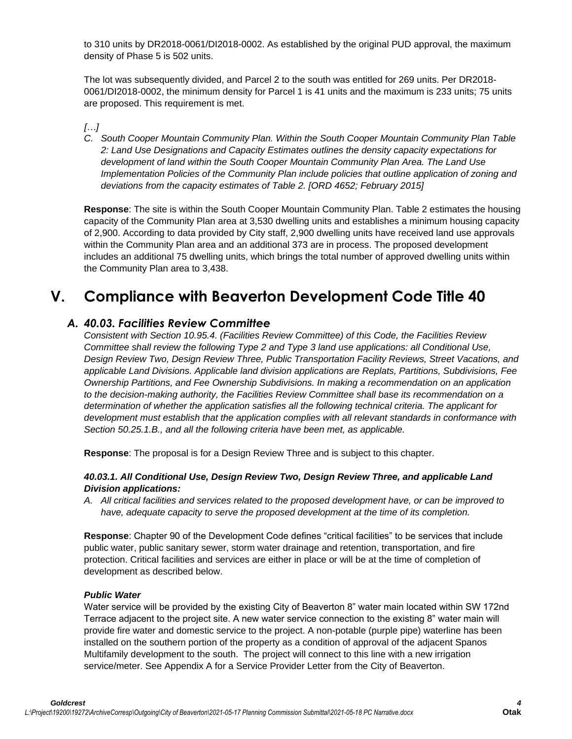to 310 units by DR2018-0061/DI2018-0002. As established by the original PUD approval, the maximum density of Phase 5 is 502 units.

The lot was subsequently divided, and Parcel 2 to the south was entitled for 269 units. Per DR2018- 0061/DI2018-0002, the minimum density for Parcel 1 is 41 units and the maximum is 233 units; 75 units are proposed. This requirement is met.

## *[…]*

*C. South Cooper Mountain Community Plan. Within the South Cooper Mountain Community Plan Table 2: Land Use Designations and Capacity Estimates outlines the density capacity expectations for development of land within the South Cooper Mountain Community Plan Area. The Land Use Implementation Policies of the Community Plan include policies that outline application of zoning and deviations from the capacity estimates of Table 2. [ORD 4652; February 2015]*

**Response**: The site is within the South Cooper Mountain Community Plan. Table 2 estimates the housing capacity of the Community Plan area at 3,530 dwelling units and establishes a minimum housing capacity of 2,900. According to data provided by City staff, 2,900 dwelling units have received land use approvals within the Community Plan area and an additional 373 are in process. The proposed development includes an additional 75 dwelling units, which brings the total number of approved dwelling units within the Community Plan area to 3,438.

# **V. Compliance with Beaverton Development Code Title 40**

# *A. 40.03. Facilities Review Committee*

*Consistent with Section 10.95.4. (Facilities Review Committee) of this Code, the Facilities Review Committee shall review the following Type 2 and Type 3 land use applications: all Conditional Use, Design Review Two, Design Review Three, Public Transportation Facility Reviews, Street Vacations, and applicable Land Divisions. Applicable land division applications are Replats, Partitions, Subdivisions, Fee Ownership Partitions, and Fee Ownership Subdivisions. In making a recommendation on an application to the decision-making authority, the Facilities Review Committee shall base its recommendation on a determination of whether the application satisfies all the following technical criteria. The applicant for development must establish that the application complies with all relevant standards in conformance with Section 50.25.1.B., and all the following criteria have been met, as applicable.*

**Response**: The proposal is for a Design Review Three and is subject to this chapter.

## *40.03.1. All Conditional Use, Design Review Two, Design Review Three, and applicable Land Division applications:*

*A. All critical facilities and services related to the proposed development have, or can be improved to have, adequate capacity to serve the proposed development at the time of its completion.*

**Response**: Chapter 90 of the Development Code defines "critical facilities" to be services that include public water, public sanitary sewer, storm water drainage and retention, transportation, and fire protection. Critical facilities and services are either in place or will be at the time of completion of development as described below.

## *Public Water*

Water service will be provided by the existing City of Beaverton 8" water main located within SW 172nd Terrace adjacent to the project site. A new water service connection to the existing 8" water main will provide fire water and domestic service to the project. A non-potable (purple pipe) waterline has been installed on the southern portion of the property as a condition of approval of the adjacent Spanos Multifamily development to the south. The project will connect to this line with a new irrigation service/meter. See Appendix A for a Service Provider Letter from the City of Beaverton.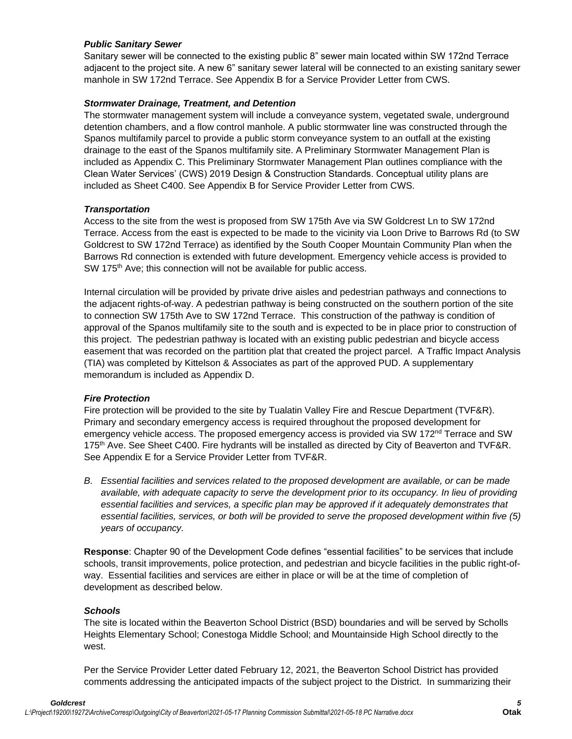## *Public Sanitary Sewer*

Sanitary sewer will be connected to the existing public 8" sewer main located within SW 172nd Terrace adjacent to the project site. A new 6" sanitary sewer lateral will be connected to an existing sanitary sewer manhole in SW 172nd Terrace. See Appendix B for a Service Provider Letter from CWS.

## *Stormwater Drainage, Treatment, and Detention*

The stormwater management system will include a conveyance system, vegetated swale, underground detention chambers, and a flow control manhole. A public stormwater line was constructed through the Spanos multifamily parcel to provide a public storm conveyance system to an outfall at the existing drainage to the east of the Spanos multifamily site. A Preliminary Stormwater Management Plan is included as Appendix C. This Preliminary Stormwater Management Plan outlines compliance with the Clean Water Services' (CWS) 2019 Design & Construction Standards. Conceptual utility plans are included as Sheet C400. See Appendix B for Service Provider Letter from CWS.

## *Transportation*

Access to the site from the west is proposed from SW 175th Ave via SW Goldcrest Ln to SW 172nd Terrace. Access from the east is expected to be made to the vicinity via Loon Drive to Barrows Rd (to SW Goldcrest to SW 172nd Terrace) as identified by the South Cooper Mountain Community Plan when the Barrows Rd connection is extended with future development. Emergency vehicle access is provided to SW 175<sup>th</sup> Ave; this connection will not be available for public access.

Internal circulation will be provided by private drive aisles and pedestrian pathways and connections to the adjacent rights-of-way. A pedestrian pathway is being constructed on the southern portion of the site to connection SW 175th Ave to SW 172nd Terrace. This construction of the pathway is condition of approval of the Spanos multifamily site to the south and is expected to be in place prior to construction of this project. The pedestrian pathway is located with an existing public pedestrian and bicycle access easement that was recorded on the partition plat that created the project parcel. A Traffic Impact Analysis (TIA) was completed by Kittelson & Associates as part of the approved PUD. A supplementary memorandum is included as Appendix D.

## *Fire Protection*

Fire protection will be provided to the site by Tualatin Valley Fire and Rescue Department (TVF&R). Primary and secondary emergency access is required throughout the proposed development for emergency vehicle access. The proposed emergency access is provided via SW 172<sup>nd</sup> Terrace and SW 175<sup>th</sup> Ave. See Sheet C400. Fire hydrants will be installed as directed by City of Beaverton and TVF&R. See Appendix E for a Service Provider Letter from TVF&R.

*B. Essential facilities and services related to the proposed development are available, or can be made available, with adequate capacity to serve the development prior to its occupancy. In lieu of providing essential facilities and services, a specific plan may be approved if it adequately demonstrates that essential facilities, services, or both will be provided to serve the proposed development within five (5) years of occupancy.*

**Response**: Chapter 90 of the Development Code defines "essential facilities" to be services that include schools, transit improvements, police protection, and pedestrian and bicycle facilities in the public right-ofway. Essential facilities and services are either in place or will be at the time of completion of development as described below.

## *Schools*

The site is located within the Beaverton School District (BSD) boundaries and will be served by Scholls Heights Elementary School; Conestoga Middle School; and Mountainside High School directly to the west.

Per the Service Provider Letter dated February 12, 2021, the Beaverton School District has provided comments addressing the anticipated impacts of the subject project to the District. In summarizing their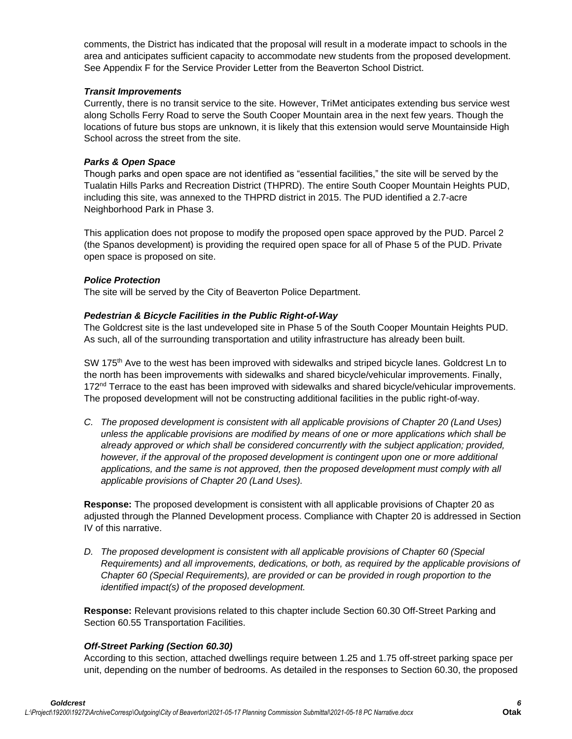comments, the District has indicated that the proposal will result in a moderate impact to schools in the area and anticipates sufficient capacity to accommodate new students from the proposed development. See Appendix F for the Service Provider Letter from the Beaverton School District.

#### *Transit Improvements*

Currently, there is no transit service to the site. However, TriMet anticipates extending bus service west along Scholls Ferry Road to serve the South Cooper Mountain area in the next few years. Though the locations of future bus stops are unknown, it is likely that this extension would serve Mountainside High School across the street from the site.

#### *Parks & Open Space*

Though parks and open space are not identified as "essential facilities," the site will be served by the Tualatin Hills Parks and Recreation District (THPRD). The entire South Cooper Mountain Heights PUD, including this site, was annexed to the THPRD district in 2015. The PUD identified a 2.7-acre Neighborhood Park in Phase 3.

This application does not propose to modify the proposed open space approved by the PUD. Parcel 2 (the Spanos development) is providing the required open space for all of Phase 5 of the PUD. Private open space is proposed on site.

#### *Police Protection*

The site will be served by the City of Beaverton Police Department.

#### *Pedestrian & Bicycle Facilities in the Public Right-of-Way*

The Goldcrest site is the last undeveloped site in Phase 5 of the South Cooper Mountain Heights PUD. As such, all of the surrounding transportation and utility infrastructure has already been built.

SW 175<sup>th</sup> Ave to the west has been improved with sidewalks and striped bicycle lanes. Goldcrest Ln to the north has been improvements with sidewalks and shared bicycle/vehicular improvements. Finally, 172<sup>nd</sup> Terrace to the east has been improved with sidewalks and shared bicycle/vehicular improvements. The proposed development will not be constructing additional facilities in the public right-of-way.

*C. The proposed development is consistent with all applicable provisions of Chapter 20 (Land Uses) unless the applicable provisions are modified by means of one or more applications which shall be already approved or which shall be considered concurrently with the subject application; provided, however, if the approval of the proposed development is contingent upon one or more additional applications, and the same is not approved, then the proposed development must comply with all applicable provisions of Chapter 20 (Land Uses).*

**Response:** The proposed development is consistent with all applicable provisions of Chapter 20 as adjusted through the Planned Development process. Compliance with Chapter 20 is addressed in Section IV of this narrative.

*D.* The proposed development is consistent with all applicable provisions of Chapter 60 (Special *Requirements) and all improvements, dedications, or both, as required by the applicable provisions of Chapter 60 (Special Requirements), are provided or can be provided in rough proportion to the identified impact(s) of the proposed development.*

**Response:** Relevant provisions related to this chapter include Section 60.30 Off-Street Parking and Section 60.55 Transportation Facilities.

## *Off-Street Parking (Section 60.30)*

According to this section, attached dwellings require between 1.25 and 1.75 off-street parking space per unit, depending on the number of bedrooms. As detailed in the responses to Section 60.30, the proposed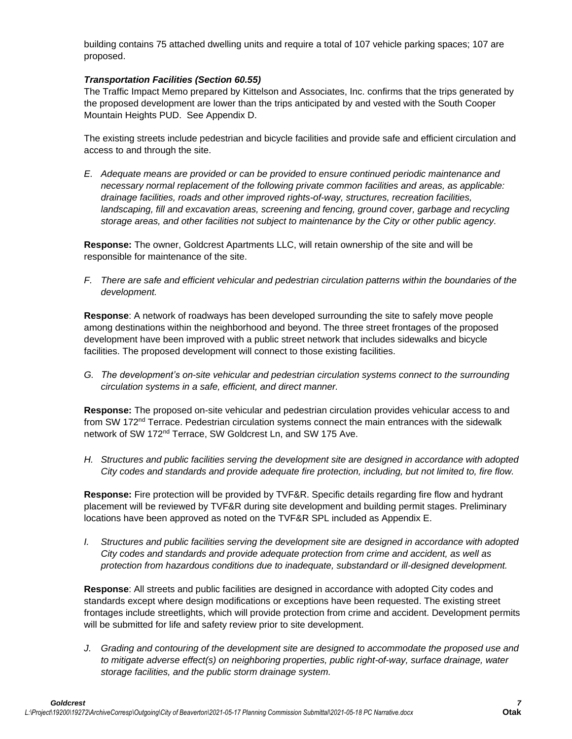building contains 75 attached dwelling units and require a total of 107 vehicle parking spaces; 107 are proposed.

## *Transportation Facilities (Section 60.55)*

The Traffic Impact Memo prepared by Kittelson and Associates, Inc. confirms that the trips generated by the proposed development are lower than the trips anticipated by and vested with the South Cooper Mountain Heights PUD. See Appendix D.

The existing streets include pedestrian and bicycle facilities and provide safe and efficient circulation and access to and through the site.

*E. Adequate means are provided or can be provided to ensure continued periodic maintenance and necessary normal replacement of the following private common facilities and areas, as applicable: drainage facilities, roads and other improved rights-of-way, structures, recreation facilities,*  landscaping, fill and excavation areas, screening and fencing, ground cover, garbage and recycling *storage areas, and other facilities not subject to maintenance by the City or other public agency.*

**Response:** The owner, Goldcrest Apartments LLC, will retain ownership of the site and will be responsible for maintenance of the site.

*F. There are safe and efficient vehicular and pedestrian circulation patterns within the boundaries of the development.*

**Response**: A network of roadways has been developed surrounding the site to safely move people among destinations within the neighborhood and beyond. The three street frontages of the proposed development have been improved with a public street network that includes sidewalks and bicycle facilities. The proposed development will connect to those existing facilities.

*G. The development's on-site vehicular and pedestrian circulation systems connect to the surrounding circulation systems in a safe, efficient, and direct manner.*

**Response:** The proposed on-site vehicular and pedestrian circulation provides vehicular access to and from SW 172<sup>nd</sup> Terrace. Pedestrian circulation systems connect the main entrances with the sidewalk network of SW 172<sup>nd</sup> Terrace, SW Goldcrest Ln, and SW 175 Ave.

*H. Structures and public facilities serving the development site are designed in accordance with adopted City codes and standards and provide adequate fire protection, including, but not limited to, fire flow.*

**Response:** Fire protection will be provided by TVF&R. Specific details regarding fire flow and hydrant placement will be reviewed by TVF&R during site development and building permit stages. Preliminary locations have been approved as noted on the TVF&R SPL included as Appendix E.

*I. Structures and public facilities serving the development site are designed in accordance with adopted City codes and standards and provide adequate protection from crime and accident, as well as protection from hazardous conditions due to inadequate, substandard or ill-designed development.*

**Response**: All streets and public facilities are designed in accordance with adopted City codes and standards except where design modifications or exceptions have been requested. The existing street frontages include streetlights, which will provide protection from crime and accident. Development permits will be submitted for life and safety review prior to site development.

*J. Grading and contouring of the development site are designed to accommodate the proposed use and to mitigate adverse effect(s) on neighboring properties, public right-of-way, surface drainage, water storage facilities, and the public storm drainage system.*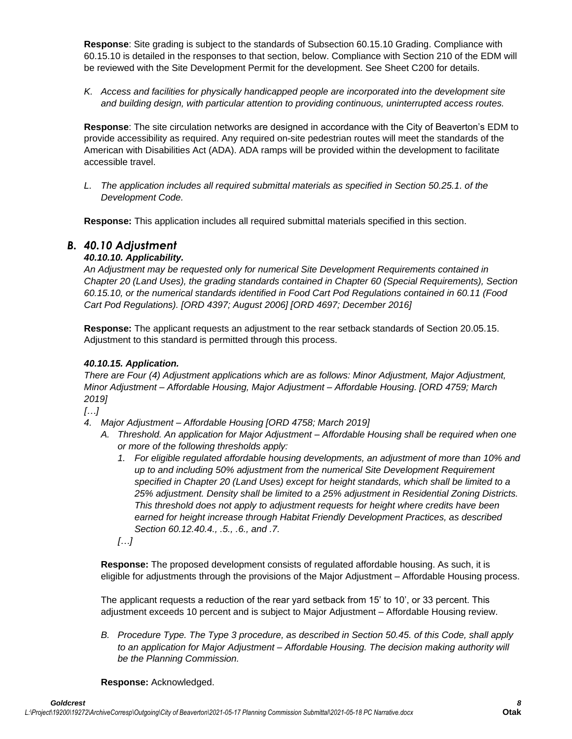**Response**: Site grading is subject to the standards of Subsection 60.15.10 Grading. Compliance with 60.15.10 is detailed in the responses to that section, below. Compliance with Section 210 of the EDM will be reviewed with the Site Development Permit for the development. See Sheet C200 for details.

*K. Access and facilities for physically handicapped people are incorporated into the development site and building design, with particular attention to providing continuous, uninterrupted access routes.*

**Response**: The site circulation networks are designed in accordance with the City of Beaverton's EDM to provide accessibility as required. Any required on-site pedestrian routes will meet the standards of the American with Disabilities Act (ADA). ADA ramps will be provided within the development to facilitate accessible travel.

*L. The application includes all required submittal materials as specified in Section 50.25.1. of the Development Code.*

**Response:** This application includes all required submittal materials specified in this section.

# *B. 40.10 Adjustment*

# *40.10.10. Applicability.*

*An Adjustment may be requested only for numerical Site Development Requirements contained in Chapter 20 (Land Uses), the grading standards contained in Chapter 60 (Special Requirements), Section 60.15.10, or the numerical standards identified in Food Cart Pod Regulations contained in 60.11 (Food Cart Pod Regulations). [ORD 4397; August 2006] [ORD 4697; December 2016]*

**Response:** The applicant requests an adjustment to the rear setback standards of Section 20.05.15. Adjustment to this standard is permitted through this process.

# *40.10.15. Application.*

*There are Four (4) Adjustment applications which are as follows: Minor Adjustment, Major Adjustment, Minor Adjustment – Affordable Housing, Major Adjustment – Affordable Housing. [ORD 4759; March 2019]* 

*[…]*

- *4. Major Adjustment – Affordable Housing [ORD 4758; March 2019]*
	- *A. Threshold. An application for Major Adjustment – Affordable Housing shall be required when one or more of the following thresholds apply:*
		- *1. For eligible regulated affordable housing developments, an adjustment of more than 10% and up to and including 50% adjustment from the numerical Site Development Requirement specified in Chapter 20 (Land Uses) except for height standards, which shall be limited to a 25% adjustment. Density shall be limited to a 25% adjustment in Residential Zoning Districts. This threshold does not apply to adjustment requests for height where credits have been earned for height increase through Habitat Friendly Development Practices, as described Section 60.12.40.4., .5., .6., and .7.*
		- *[…]*

**Response:** The proposed development consists of regulated affordable housing. As such, it is eligible for adjustments through the provisions of the Major Adjustment – Affordable Housing process.

The applicant requests a reduction of the rear yard setback from 15' to 10', or 33 percent. This adjustment exceeds 10 percent and is subject to Major Adjustment – Affordable Housing review.

*B. Procedure Type. The Type 3 procedure, as described in Section 50.45. of this Code, shall apply to an application for Major Adjustment – Affordable Housing. The decision making authority will be the Planning Commission.*

**Response:** Acknowledged.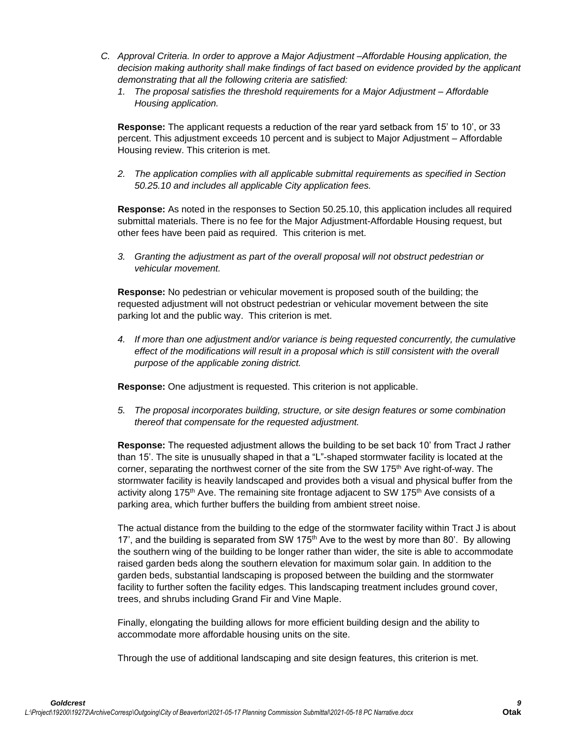- *C. Approval Criteria. In order to approve a Major Adjustment –Affordable Housing application, the decision making authority shall make findings of fact based on evidence provided by the applicant demonstrating that all the following criteria are satisfied:* 
	- *1. The proposal satisfies the threshold requirements for a Major Adjustment – Affordable Housing application.*

**Response:** The applicant requests a reduction of the rear yard setback from 15' to 10', or 33 percent. This adjustment exceeds 10 percent and is subject to Major Adjustment – Affordable Housing review. This criterion is met.

*2. The application complies with all applicable submittal requirements as specified in Section 50.25.10 and includes all applicable City application fees.*

**Response:** As noted in the responses to Section 50.25.10, this application includes all required submittal materials. There is no fee for the Major Adjustment-Affordable Housing request, but other fees have been paid as required. This criterion is met.

*3. Granting the adjustment as part of the overall proposal will not obstruct pedestrian or vehicular movement.*

**Response:** No pedestrian or vehicular movement is proposed south of the building; the requested adjustment will not obstruct pedestrian or vehicular movement between the site parking lot and the public way. This criterion is met.

*4. If more than one adjustment and/or variance is being requested concurrently, the cumulative effect of the modifications will result in a proposal which is still consistent with the overall purpose of the applicable zoning district.*

**Response:** One adjustment is requested. This criterion is not applicable.

*5. The proposal incorporates building, structure, or site design features or some combination thereof that compensate for the requested adjustment.*

**Response:** The requested adjustment allows the building to be set back 10' from Tract J rather than 15'. The site is unusually shaped in that a "L"-shaped stormwater facility is located at the corner, separating the northwest corner of the site from the SW 175<sup>th</sup> Ave right-of-way. The stormwater facility is heavily landscaped and provides both a visual and physical buffer from the activity along 175<sup>th</sup> Ave. The remaining site frontage adjacent to SW 175<sup>th</sup> Ave consists of a parking area, which further buffers the building from ambient street noise.

The actual distance from the building to the edge of the stormwater facility within Tract J is about 17', and the building is separated from SW 175<sup>th</sup> Ave to the west by more than 80'. By allowing the southern wing of the building to be longer rather than wider, the site is able to accommodate raised garden beds along the southern elevation for maximum solar gain. In addition to the garden beds, substantial landscaping is proposed between the building and the stormwater facility to further soften the facility edges. This landscaping treatment includes ground cover, trees, and shrubs including Grand Fir and Vine Maple.

Finally, elongating the building allows for more efficient building design and the ability to accommodate more affordable housing units on the site.

Through the use of additional landscaping and site design features, this criterion is met.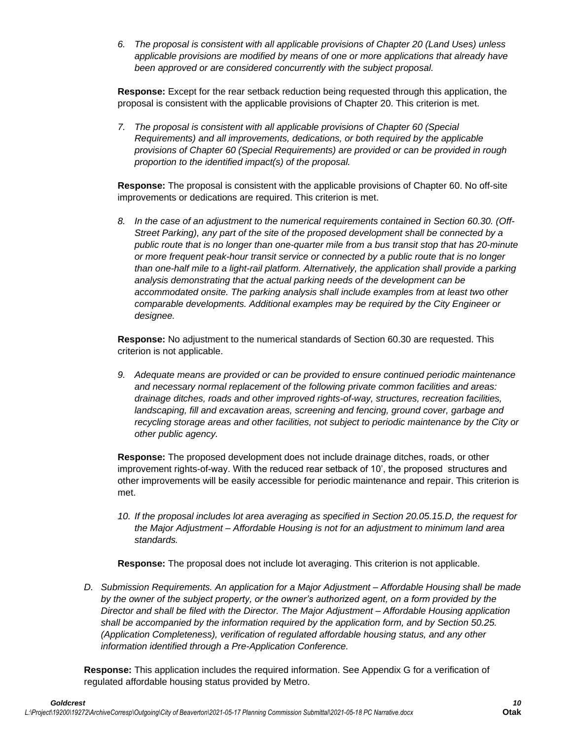*6. The proposal is consistent with all applicable provisions of Chapter 20 (Land Uses) unless applicable provisions are modified by means of one or more applications that already have been approved or are considered concurrently with the subject proposal.*

**Response:** Except for the rear setback reduction being requested through this application, the proposal is consistent with the applicable provisions of Chapter 20. This criterion is met.

*7. The proposal is consistent with all applicable provisions of Chapter 60 (Special Requirements) and all improvements, dedications, or both required by the applicable provisions of Chapter 60 (Special Requirements) are provided or can be provided in rough proportion to the identified impact(s) of the proposal.*

**Response:** The proposal is consistent with the applicable provisions of Chapter 60. No off-site improvements or dedications are required. This criterion is met.

*8. In the case of an adjustment to the numerical requirements contained in Section 60.30. (Off-Street Parking), any part of the site of the proposed development shall be connected by a public route that is no longer than one-quarter mile from a bus transit stop that has 20-minute or more frequent peak-hour transit service or connected by a public route that is no longer than one-half mile to a light-rail platform. Alternatively, the application shall provide a parking analysis demonstrating that the actual parking needs of the development can be accommodated onsite. The parking analysis shall include examples from at least two other comparable developments. Additional examples may be required by the City Engineer or designee.*

**Response:** No adjustment to the numerical standards of Section 60.30 are requested. This criterion is not applicable.

*9. Adequate means are provided or can be provided to ensure continued periodic maintenance and necessary normal replacement of the following private common facilities and areas: drainage ditches, roads and other improved rights-of-way, structures, recreation facilities, landscaping, fill and excavation areas, screening and fencing, ground cover, garbage and recycling storage areas and other facilities, not subject to periodic maintenance by the City or other public agency.*

**Response:** The proposed development does not include drainage ditches, roads, or other improvement rights-of-way. With the reduced rear setback of 10', the proposed structures and other improvements will be easily accessible for periodic maintenance and repair. This criterion is met.

*10. If the proposal includes lot area averaging as specified in Section 20.05.15.D, the request for the Major Adjustment – Affordable Housing is not for an adjustment to minimum land area standards.* 

**Response:** The proposal does not include lot averaging. This criterion is not applicable.

*D. Submission Requirements. An application for a Major Adjustment – Affordable Housing shall be made by the owner of the subject property, or the owner's authorized agent, on a form provided by the Director and shall be filed with the Director. The Major Adjustment – Affordable Housing application shall be accompanied by the information required by the application form, and by Section 50.25. (Application Completeness), verification of regulated affordable housing status, and any other information identified through a Pre-Application Conference.*

**Response:** This application includes the required information. See Appendix G for a verification of regulated affordable housing status provided by Metro.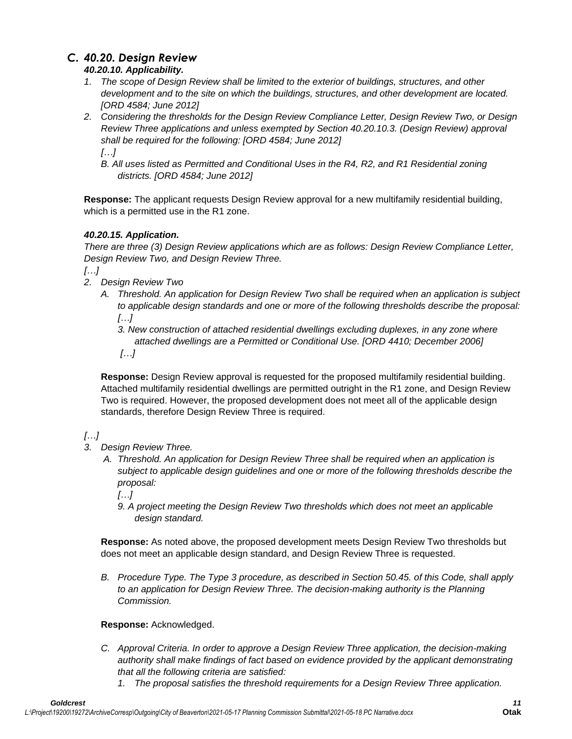# *C. 40.20. Design Review*

# *40.20.10. Applicability.*

- *1. The scope of Design Review shall be limited to the exterior of buildings, structures, and other development and to the site on which the buildings, structures, and other development are located. [ORD 4584; June 2012]*
- *2. Considering the thresholds for the Design Review Compliance Letter, Design Review Two, or Design Review Three applications and unless exempted by Section 40.20.10.3. (Design Review) approval shall be required for the following: [ORD 4584; June 2012] […]*
	- *B. All uses listed as Permitted and Conditional Uses in the R4, R2, and R1 Residential zoning districts. [ORD 4584; June 2012]*

**Response:** The applicant requests Design Review approval for a new multifamily residential building, which is a permitted use in the R1 zone.

# *40.20.15. Application.*

*There are three (3) Design Review applications which are as follows: Design Review Compliance Letter, Design Review Two, and Design Review Three.*

*[…]*

- *2. Design Review Two*
	- *A. Threshold. An application for Design Review Two shall be required when an application is subject to applicable design standards and one or more of the following thresholds describe the proposal: […]*
		- *3. New construction of attached residential dwellings excluding duplexes, in any zone where attached dwellings are a Permitted or Conditional Use. [ORD 4410; December 2006]*
		- *[…]*

**Response:** Design Review approval is requested for the proposed multifamily residential building. Attached multifamily residential dwellings are permitted outright in the R1 zone, and Design Review Two is required. However, the proposed development does not meet all of the applicable design standards, therefore Design Review Three is required.

# *[…]*

- *3. Design Review Three.*
	- *A. Threshold. An application for Design Review Three shall be required when an application is subject to applicable design guidelines and one or more of the following thresholds describe the proposal:*

*[…]*

*9. A project meeting the Design Review Two thresholds which does not meet an applicable design standard.*

**Response:** As noted above, the proposed development meets Design Review Two thresholds but does not meet an applicable design standard, and Design Review Three is requested.

*B. Procedure Type. The Type 3 procedure, as described in Section 50.45. of this Code, shall apply to an application for Design Review Three. The decision-making authority is the Planning Commission.*

# **Response:** Acknowledged.

- *C. Approval Criteria. In order to approve a Design Review Three application, the decision-making authority shall make findings of fact based on evidence provided by the applicant demonstrating that all the following criteria are satisfied:*
	- *1. The proposal satisfies the threshold requirements for a Design Review Three application.*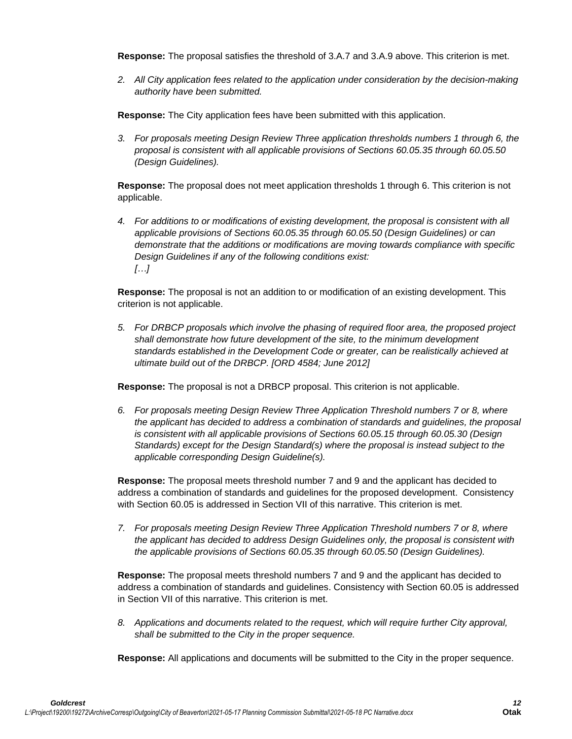**Response:** The proposal satisfies the threshold of 3.A.7 and 3.A.9 above. This criterion is met.

*2. All City application fees related to the application under consideration by the decision-making authority have been submitted.*

**Response:** The City application fees have been submitted with this application.

*3. For proposals meeting Design Review Three application thresholds numbers 1 through 6, the proposal is consistent with all applicable provisions of Sections 60.05.35 through 60.05.50 (Design Guidelines).*

**Response:** The proposal does not meet application thresholds 1 through 6. This criterion is not applicable.

*4. For additions to or modifications of existing development, the proposal is consistent with all applicable provisions of Sections 60.05.35 through 60.05.50 (Design Guidelines) or can demonstrate that the additions or modifications are moving towards compliance with specific Design Guidelines if any of the following conditions exist: […]*

**Response:** The proposal is not an addition to or modification of an existing development. This criterion is not applicable.

*5. For DRBCP proposals which involve the phasing of required floor area, the proposed project shall demonstrate how future development of the site, to the minimum development standards established in the Development Code or greater, can be realistically achieved at ultimate build out of the DRBCP. [ORD 4584; June 2012]*

**Response:** The proposal is not a DRBCP proposal. This criterion is not applicable.

*6. For proposals meeting Design Review Three Application Threshold numbers 7 or 8, where the applicant has decided to address a combination of standards and guidelines, the proposal is consistent with all applicable provisions of Sections 60.05.15 through 60.05.30 (Design Standards) except for the Design Standard(s) where the proposal is instead subject to the applicable corresponding Design Guideline(s).*

**Response:** The proposal meets threshold number 7 and 9 and the applicant has decided to address a combination of standards and guidelines for the proposed development. Consistency with Section 60.05 is addressed in Section VII of this narrative. This criterion is met.

*7. For proposals meeting Design Review Three Application Threshold numbers 7 or 8, where the applicant has decided to address Design Guidelines only, the proposal is consistent with the applicable provisions of Sections 60.05.35 through 60.05.50 (Design Guidelines).*

**Response:** The proposal meets threshold numbers 7 and 9 and the applicant has decided to address a combination of standards and guidelines. Consistency with Section 60.05 is addressed in Section VII of this narrative. This criterion is met.

*8. Applications and documents related to the request, which will require further City approval, shall be submitted to the City in the proper sequence.*

**Response:** All applications and documents will be submitted to the City in the proper sequence.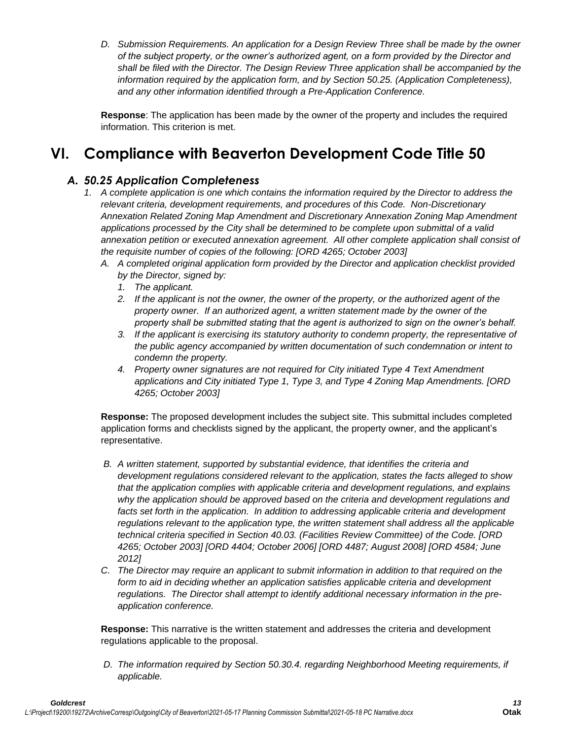*D. Submission Requirements. An application for a Design Review Three shall be made by the owner of the subject property, or the owner's authorized agent, on a form provided by the Director and shall be filed with the Director. The Design Review Three application shall be accompanied by the information required by the application form, and by Section 50.25. (Application Completeness), and any other information identified through a Pre-Application Conference.*

**Response**: The application has been made by the owner of the property and includes the required information. This criterion is met.

# **VI. Compliance with Beaverton Development Code Title 50**

# *A. 50.25 Application Completeness*

- *1. A complete application is one which contains the information required by the Director to address the relevant criteria, development requirements, and procedures of this Code. Non-Discretionary Annexation Related Zoning Map Amendment and Discretionary Annexation Zoning Map Amendment applications processed by the City shall be determined to be complete upon submittal of a valid annexation petition or executed annexation agreement. All other complete application shall consist of the requisite number of copies of the following: [ORD 4265; October 2003]* 
	- *A. A completed original application form provided by the Director and application checklist provided by the Director, signed by:* 
		- *1. The applicant.*
		- *2. If the applicant is not the owner, the owner of the property, or the authorized agent of the property owner. If an authorized agent, a written statement made by the owner of the property shall be submitted stating that the agent is authorized to sign on the owner's behalf.*
		- *3. If the applicant is exercising its statutory authority to condemn property, the representative of the public agency accompanied by written documentation of such condemnation or intent to condemn the property.*
		- *4. Property owner signatures are not required for City initiated Type 4 Text Amendment applications and City initiated Type 1, Type 3, and Type 4 Zoning Map Amendments. [ORD 4265; October 2003]*

**Response:** The proposed development includes the subject site. This submittal includes completed application forms and checklists signed by the applicant, the property owner, and the applicant's representative.

- *B. A written statement, supported by substantial evidence, that identifies the criteria and development regulations considered relevant to the application, states the facts alleged to show that the application complies with applicable criteria and development regulations, and explains why the application should be approved based on the criteria and development regulations and*  facts set forth in the application. In addition to addressing applicable criteria and development *regulations relevant to the application type, the written statement shall address all the applicable technical criteria specified in Section 40.03. (Facilities Review Committee) of the Code. [ORD 4265; October 2003] [ORD 4404; October 2006] [ORD 4487; August 2008] [ORD 4584; June 2012]*
- *C. The Director may require an applicant to submit information in addition to that required on the*  form to aid in deciding whether an application satisfies applicable criteria and development *regulations. The Director shall attempt to identify additional necessary information in the preapplication conference.*

**Response:** This narrative is the written statement and addresses the criteria and development regulations applicable to the proposal.

*D. The information required by Section 50.30.4. regarding Neighborhood Meeting requirements, if applicable.*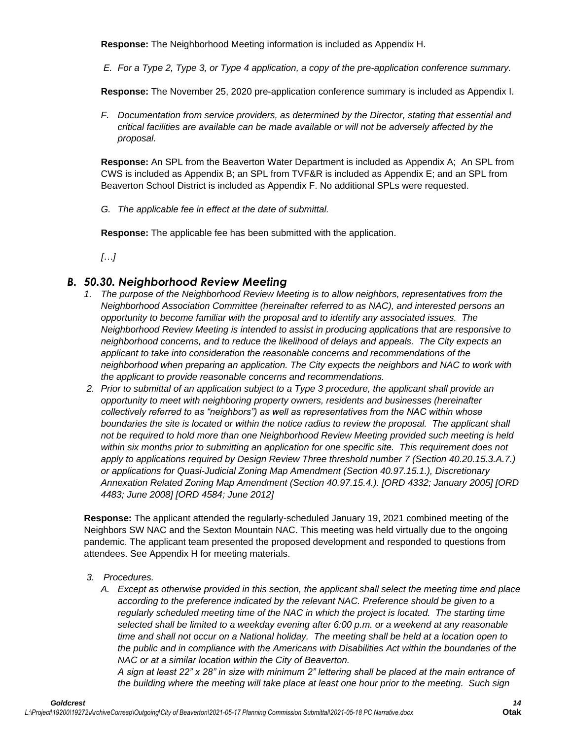**Response:** The Neighborhood Meeting information is included as Appendix H.

*E. For a Type 2, Type 3, or Type 4 application, a copy of the pre-application conference summary.* 

**Response:** The November 25, 2020 pre-application conference summary is included as Appendix I.

*F. Documentation from service providers, as determined by the Director, stating that essential and critical facilities are available can be made available or will not be adversely affected by the proposal.* 

**Response:** An SPL from the Beaverton Water Department is included as Appendix A; An SPL from CWS is included as Appendix B; an SPL from TVF&R is included as Appendix E; and an SPL from Beaverton School District is included as Appendix F. No additional SPLs were requested.

*G. The applicable fee in effect at the date of submittal.* 

**Response:** The applicable fee has been submitted with the application.

*[…]*

# *B. 50.30. Neighborhood Review Meeting*

- *1. The purpose of the Neighborhood Review Meeting is to allow neighbors, representatives from the Neighborhood Association Committee (hereinafter referred to as NAC), and interested persons an opportunity to become familiar with the proposal and to identify any associated issues. The Neighborhood Review Meeting is intended to assist in producing applications that are responsive to neighborhood concerns, and to reduce the likelihood of delays and appeals. The City expects an applicant to take into consideration the reasonable concerns and recommendations of the neighborhood when preparing an application. The City expects the neighbors and NAC to work with the applicant to provide reasonable concerns and recommendations.*
- *2. Prior to submittal of an application subject to a Type 3 procedure, the applicant shall provide an opportunity to meet with neighboring property owners, residents and businesses (hereinafter collectively referred to as "neighbors") as well as representatives from the NAC within whose boundaries the site is located or within the notice radius to review the proposal. The applicant shall not be required to hold more than one Neighborhood Review Meeting provided such meeting is held within six months prior to submitting an application for one specific site. This requirement does not apply to applications required by Design Review Three threshold number 7 (Section 40.20.15.3.A.7.) or applications for Quasi-Judicial Zoning Map Amendment (Section 40.97.15.1.), Discretionary Annexation Related Zoning Map Amendment (Section 40.97.15.4.). [ORD 4332; January 2005] [ORD 4483; June 2008] [ORD 4584; June 2012]*

**Response:** The applicant attended the regularly-scheduled January 19, 2021 combined meeting of the Neighbors SW NAC and the Sexton Mountain NAC. This meeting was held virtually due to the ongoing pandemic. The applicant team presented the proposed development and responded to questions from attendees. See Appendix H for meeting materials.

- *3. Procedures.*
	- *A. Except as otherwise provided in this section, the applicant shall select the meeting time and place according to the preference indicated by the relevant NAC. Preference should be given to a regularly scheduled meeting time of the NAC in which the project is located. The starting time selected shall be limited to a weekday evening after 6:00 p.m. or a weekend at any reasonable time and shall not occur on a National holiday. The meeting shall be held at a location open to the public and in compliance with the Americans with Disabilities Act within the boundaries of the NAC or at a similar location within the City of Beaverton.*

*A sign at least 22" x 28" in size with minimum 2" lettering shall be placed at the main entrance of the building where the meeting will take place at least one hour prior to the meeting. Such sign*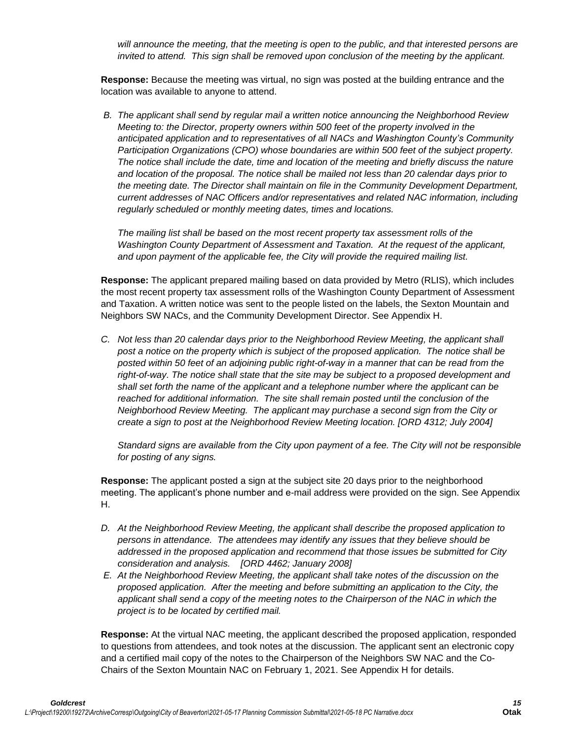*will announce the meeting, that the meeting is open to the public, and that interested persons are invited to attend. This sign shall be removed upon conclusion of the meeting by the applicant.* 

**Response:** Because the meeting was virtual, no sign was posted at the building entrance and the location was available to anyone to attend.

*B. The applicant shall send by regular mail a written notice announcing the Neighborhood Review Meeting to: the Director, property owners within 500 feet of the property involved in the anticipated application and to representatives of all NACs and Washington County's Community Participation Organizations (CPO) whose boundaries are within 500 feet of the subject property. The notice shall include the date, time and location of the meeting and briefly discuss the nature and location of the proposal. The notice shall be mailed not less than 20 calendar days prior to the meeting date. The Director shall maintain on file in the Community Development Department, current addresses of NAC Officers and/or representatives and related NAC information, including regularly scheduled or monthly meeting dates, times and locations.* 

*The mailing list shall be based on the most recent property tax assessment rolls of the Washington County Department of Assessment and Taxation. At the request of the applicant, and upon payment of the applicable fee, the City will provide the required mailing list.* 

**Response:** The applicant prepared mailing based on data provided by Metro (RLIS), which includes the most recent property tax assessment rolls of the Washington County Department of Assessment and Taxation. A written notice was sent to the people listed on the labels, the Sexton Mountain and Neighbors SW NACs, and the Community Development Director. See Appendix H.

*C. Not less than 20 calendar days prior to the Neighborhood Review Meeting, the applicant shall post a notice on the property which is subject of the proposed application. The notice shall be posted within 50 feet of an adjoining public right-of-way in a manner that can be read from the right-of-way. The notice shall state that the site may be subject to a proposed development and shall set forth the name of the applicant and a telephone number where the applicant can be reached for additional information. The site shall remain posted until the conclusion of the Neighborhood Review Meeting. The applicant may purchase a second sign from the City or create a sign to post at the Neighborhood Review Meeting location. [ORD 4312; July 2004]* 

*Standard signs are available from the City upon payment of a fee. The City will not be responsible for posting of any signs.*

**Response:** The applicant posted a sign at the subject site 20 days prior to the neighborhood meeting. The applicant's phone number and e-mail address were provided on the sign. See Appendix H.

- *D. At the Neighborhood Review Meeting, the applicant shall describe the proposed application to persons in attendance. The attendees may identify any issues that they believe should be addressed in the proposed application and recommend that those issues be submitted for City consideration and analysis. [ORD 4462; January 2008]*
- *E. At the Neighborhood Review Meeting, the applicant shall take notes of the discussion on the proposed application. After the meeting and before submitting an application to the City, the applicant shall send a copy of the meeting notes to the Chairperson of the NAC in which the project is to be located by certified mail.*

**Response:** At the virtual NAC meeting, the applicant described the proposed application, responded to questions from attendees, and took notes at the discussion. The applicant sent an electronic copy and a certified mail copy of the notes to the Chairperson of the Neighbors SW NAC and the Co-Chairs of the Sexton Mountain NAC on February 1, 2021. See Appendix H for details.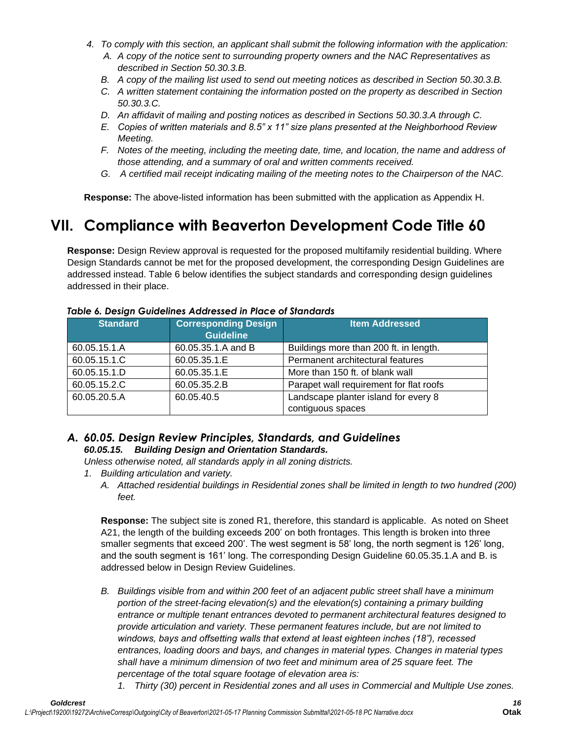- *4. To comply with this section, an applicant shall submit the following information with the application: A. A copy of the notice sent to surrounding property owners and the NAC Representatives as* 
	- *described in Section 50.30.3.B.*
	- *B. A copy of the mailing list used to send out meeting notices as described in Section 50.30.3.B.*
	- *C. A written statement containing the information posted on the property as described in Section 50.30.3.C.*
	- *D. An affidavit of mailing and posting notices as described in Sections 50.30.3.A through C.*
	- *E. Copies of written materials and 8.5" x 11" size plans presented at the Neighborhood Review Meeting.*
	- *F. Notes of the meeting, including the meeting date, time, and location, the name and address of those attending, and a summary of oral and written comments received.*
	- *G. A certified mail receipt indicating mailing of the meeting notes to the Chairperson of the NAC.*

**Response:** The above-listed information has been submitted with the application as Appendix H.

# **VII. Compliance with Beaverton Development Code Title 60**

**Response:** Design Review approval is requested for the proposed multifamily residential building. Where Design Standards cannot be met for the proposed development, the corresponding Design Guidelines are addressed instead. Table 6 below identifies the subject standards and corresponding design guidelines addressed in their place.

| <b>Standard</b> | <b>Corresponding Design</b><br><b>Guideline</b> | <b>Item Addressed</b>                   |  |  |
|-----------------|-------------------------------------------------|-----------------------------------------|--|--|
| 60.05.15.1.A    | 60.05.35.1.A and B                              | Buildings more than 200 ft. in length.  |  |  |
| 60.05.15.1.C    | 60.05.35.1.E                                    | Permanent architectural features        |  |  |
| 60.05.15.1.D    | 60.05.35.1.E                                    | More than 150 ft. of blank wall         |  |  |
| 60.05.15.2.C    | 60.05.35.2.B                                    | Parapet wall requirement for flat roofs |  |  |
| 60.05.20.5.A    | 60.05.40.5                                      | Landscape planter island for every 8    |  |  |
|                 |                                                 | contiguous spaces                       |  |  |

#### *Table 6. Design Guidelines Addressed in Place of Standards*

# *A. 60.05. Design Review Principles, Standards, and Guidelines 60.05.15. Building Design and Orientation Standards.*

*Unless otherwise noted, all standards apply in all zoning districts.*

- *1. Building articulation and variety.*
	- *A. Attached residential buildings in Residential zones shall be limited in length to two hundred (200) feet.*

**Response:** The subject site is zoned R1, therefore, this standard is applicable. As noted on Sheet A21, the length of the building exceeds 200' on both frontages. This length is broken into three smaller segments that exceed 200'. The west segment is 58' long, the north segment is 126' long, and the south segment is 161' long. The corresponding Design Guideline 60.05.35.1.A and B. is addressed below in Design Review Guidelines.

- *B. Buildings visible from and within 200 feet of an adjacent public street shall have a minimum portion of the street-facing elevation(s) and the elevation(s) containing a primary building entrance or multiple tenant entrances devoted to permanent architectural features designed to provide articulation and variety. These permanent features include, but are not limited to windows, bays and offsetting walls that extend at least eighteen inches (18"), recessed entrances, loading doors and bays, and changes in material types. Changes in material types shall have a minimum dimension of two feet and minimum area of 25 square feet. The percentage of the total square footage of elevation area is:*
	- *1. Thirty (30) percent in Residential zones and all uses in Commercial and Multiple Use zones.*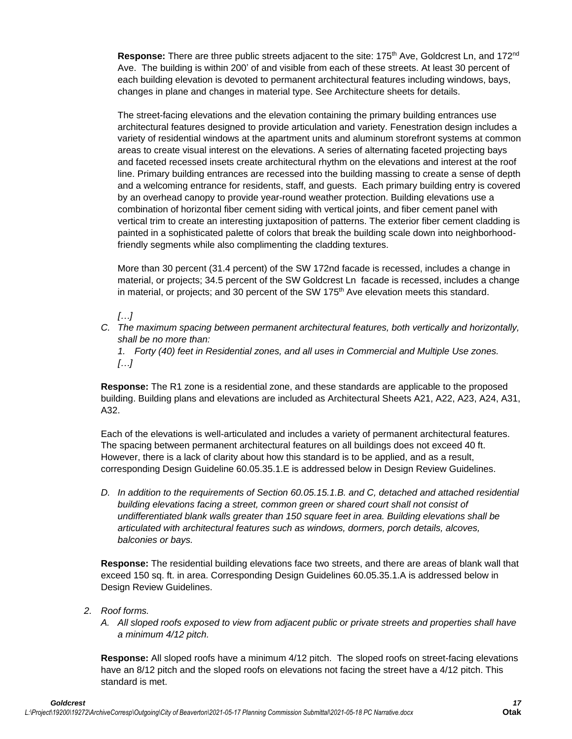Response: There are three public streets adjacent to the site: 175<sup>th</sup> Ave, Goldcrest Ln, and 172<sup>nd</sup> Ave. The building is within 200' of and visible from each of these streets. At least 30 percent of each building elevation is devoted to permanent architectural features including windows, bays, changes in plane and changes in material type. See Architecture sheets for details.

The street-facing elevations and the elevation containing the primary building entrances use architectural features designed to provide articulation and variety. Fenestration design includes a variety of residential windows at the apartment units and aluminum storefront systems at common areas to create visual interest on the elevations. A series of alternating faceted projecting bays and faceted recessed insets create architectural rhythm on the elevations and interest at the roof line. Primary building entrances are recessed into the building massing to create a sense of depth and a welcoming entrance for residents, staff, and guests. Each primary building entry is covered by an overhead canopy to provide year-round weather protection. Building elevations use a combination of horizontal fiber cement siding with vertical joints, and fiber cement panel with vertical trim to create an interesting juxtaposition of patterns. The exterior fiber cement cladding is painted in a sophisticated palette of colors that break the building scale down into neighborhoodfriendly segments while also complimenting the cladding textures.

More than 30 percent (31.4 percent) of the SW 172nd facade is recessed, includes a change in material, or projects; 34.5 percent of the SW Goldcrest Ln facade is recessed, includes a change in material, or projects; and 30 percent of the SW  $175<sup>th</sup>$  Ave elevation meets this standard.

# *[…]*

*C. The maximum spacing between permanent architectural features, both vertically and horizontally, shall be no more than:*

*1. Forty (40) feet in Residential zones, and all uses in Commercial and Multiple Use zones. […]*

**Response:** The R1 zone is a residential zone, and these standards are applicable to the proposed building. Building plans and elevations are included as Architectural Sheets A21, A22, A23, A24, A31, A32.

Each of the elevations is well-articulated and includes a variety of permanent architectural features. The spacing between permanent architectural features on all buildings does not exceed 40 ft. However, there is a lack of clarity about how this standard is to be applied, and as a result, corresponding Design Guideline 60.05.35.1.E is addressed below in Design Review Guidelines.

*D. In addition to the requirements of Section 60.05.15.1.B. and C, detached and attached residential building elevations facing a street, common green or shared court shall not consist of undifferentiated blank walls greater than 150 square feet in area. Building elevations shall be articulated with architectural features such as windows, dormers, porch details, alcoves, balconies or bays.* 

**Response:** The residential building elevations face two streets, and there are areas of blank wall that exceed 150 sq. ft. in area. Corresponding Design Guidelines 60.05.35.1.A is addressed below in Design Review Guidelines.

- *2. Roof forms.*
	- *A. All sloped roofs exposed to view from adjacent public or private streets and properties shall have a minimum 4/12 pitch.*

**Response:** All sloped roofs have a minimum 4/12 pitch. The sloped roofs on street-facing elevations have an 8/12 pitch and the sloped roofs on elevations not facing the street have a 4/12 pitch. This standard is met.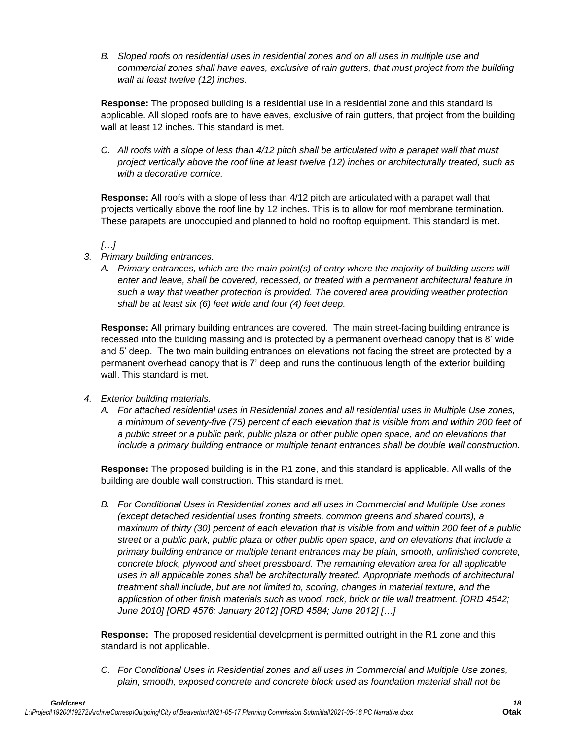*B. Sloped roofs on residential uses in residential zones and on all uses in multiple use and commercial zones shall have eaves, exclusive of rain gutters, that must project from the building wall at least twelve (12) inches.* 

**Response:** The proposed building is a residential use in a residential zone and this standard is applicable. All sloped roofs are to have eaves, exclusive of rain gutters, that project from the building wall at least 12 inches. This standard is met.

*C. All roofs with a slope of less than 4/12 pitch shall be articulated with a parapet wall that must project vertically above the roof line at least twelve (12) inches or architecturally treated, such as with a decorative cornice.* 

**Response:** All roofs with a slope of less than 4/12 pitch are articulated with a parapet wall that projects vertically above the roof line by 12 inches. This is to allow for roof membrane termination. These parapets are unoccupied and planned to hold no rooftop equipment. This standard is met.

*[…]*

- *3. Primary building entrances.* 
	- *A. Primary entrances, which are the main point(s) of entry where the majority of building users will enter and leave, shall be covered, recessed, or treated with a permanent architectural feature in such a way that weather protection is provided. The covered area providing weather protection shall be at least six (6) feet wide and four (4) feet deep.*

**Response:** All primary building entrances are covered. The main street-facing building entrance is recessed into the building massing and is protected by a permanent overhead canopy that is 8' wide and 5' deep. The two main building entrances on elevations not facing the street are protected by a permanent overhead canopy that is 7' deep and runs the continuous length of the exterior building wall. This standard is met.

- *4. Exterior building materials.*
	- *A. For attached residential uses in Residential zones and all residential uses in Multiple Use zones, a minimum of seventy-five (75) percent of each elevation that is visible from and within 200 feet of a public street or a public park, public plaza or other public open space, and on elevations that include a primary building entrance or multiple tenant entrances shall be double wall construction.*

**Response:** The proposed building is in the R1 zone, and this standard is applicable. All walls of the building are double wall construction. This standard is met.

*B. For Conditional Uses in Residential zones and all uses in Commercial and Multiple Use zones (except detached residential uses fronting streets, common greens and shared courts), a maximum of thirty (30) percent of each elevation that is visible from and within 200 feet of a public street or a public park, public plaza or other public open space, and on elevations that include a primary building entrance or multiple tenant entrances may be plain, smooth, unfinished concrete, concrete block, plywood and sheet pressboard. The remaining elevation area for all applicable uses in all applicable zones shall be architecturally treated. Appropriate methods of architectural treatment shall include, but are not limited to, scoring, changes in material texture, and the application of other finish materials such as wood, rock, brick or tile wall treatment. [ORD 4542; June 2010] [ORD 4576; January 2012] [ORD 4584; June 2012] […]*

**Response:** The proposed residential development is permitted outright in the R1 zone and this standard is not applicable.

*C. For Conditional Uses in Residential zones and all uses in Commercial and Multiple Use zones, plain, smooth, exposed concrete and concrete block used as foundation material shall not be*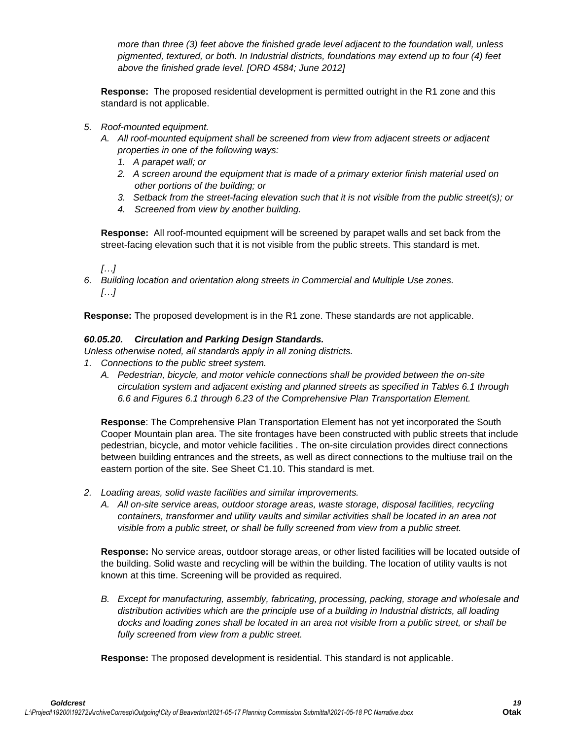*more than three (3) feet above the finished grade level adjacent to the foundation wall, unless pigmented, textured, or both. In Industrial districts, foundations may extend up to four (4) feet above the finished grade level. [ORD 4584; June 2012]*

**Response:** The proposed residential development is permitted outright in the R1 zone and this standard is not applicable.

- *5. Roof-mounted equipment.* 
	- *A. All roof-mounted equipment shall be screened from view from adjacent streets or adjacent properties in one of the following ways:*
		- *1. A parapet wall; or*
		- *2. A screen around the equipment that is made of a primary exterior finish material used on other portions of the building; or*
		- *3. Setback from the street-facing elevation such that it is not visible from the public street(s); or*
		- *4. Screened from view by another building.*

**Response:** All roof-mounted equipment will be screened by parapet walls and set back from the street-facing elevation such that it is not visible from the public streets. This standard is met.

*[…]*

*6. Building location and orientation along streets in Commercial and Multiple Use zones. […]*

**Response:** The proposed development is in the R1 zone. These standards are not applicable.

#### *60.05.20. Circulation and Parking Design Standards.*

*Unless otherwise noted, all standards apply in all zoning districts.*

- *1. Connections to the public street system.* 
	- *A. Pedestrian, bicycle, and motor vehicle connections shall be provided between the on-site circulation system and adjacent existing and planned streets as specified in Tables 6.1 through 6.6 and Figures 6.1 through 6.23 of the Comprehensive Plan Transportation Element.*

**Response**: The Comprehensive Plan Transportation Element has not yet incorporated the South Cooper Mountain plan area. The site frontages have been constructed with public streets that include pedestrian, bicycle, and motor vehicle facilities . The on-site circulation provides direct connections between building entrances and the streets, as well as direct connections to the multiuse trail on the eastern portion of the site. See Sheet C1.10. This standard is met.

- *2. Loading areas, solid waste facilities and similar improvements.* 
	- *A. All on-site service areas, outdoor storage areas, waste storage, disposal facilities, recycling containers, transformer and utility vaults and similar activities shall be located in an area not visible from a public street, or shall be fully screened from view from a public street.*

**Response:** No service areas, outdoor storage areas, or other listed facilities will be located outside of the building. Solid waste and recycling will be within the building. The location of utility vaults is not known at this time. Screening will be provided as required.

*B. Except for manufacturing, assembly, fabricating, processing, packing, storage and wholesale and distribution activities which are the principle use of a building in Industrial districts, all loading docks and loading zones shall be located in an area not visible from a public street, or shall be fully screened from view from a public street.*

**Response:** The proposed development is residential. This standard is not applicable.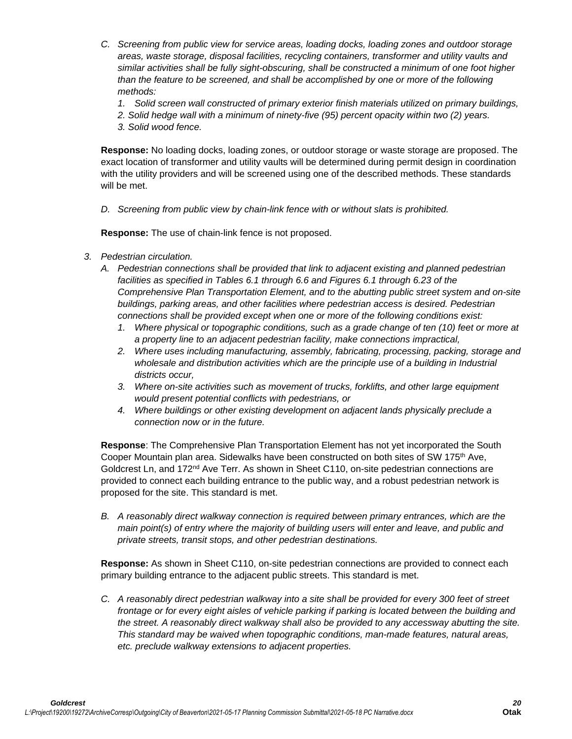- *C. Screening from public view for service areas, loading docks, loading zones and outdoor storage areas, waste storage, disposal facilities, recycling containers, transformer and utility vaults and similar activities shall be fully sight-obscuring, shall be constructed a minimum of one foot higher than the feature to be screened, and shall be accomplished by one or more of the following methods:*
	- *1. Solid screen wall constructed of primary exterior finish materials utilized on primary buildings,*
	- *2. Solid hedge wall with a minimum of ninety-five (95) percent opacity within two (2) years.*
	- *3. Solid wood fence.*

**Response:** No loading docks, loading zones, or outdoor storage or waste storage are proposed. The exact location of transformer and utility vaults will be determined during permit design in coordination with the utility providers and will be screened using one of the described methods. These standards will be met.

*D. Screening from public view by chain-link fence with or without slats is prohibited.*

**Response:** The use of chain-link fence is not proposed.

- *3. Pedestrian circulation.*
	- *A. Pedestrian connections shall be provided that link to adjacent existing and planned pedestrian facilities as specified in Tables 6.1 through 6.6 and Figures 6.1 through 6.23 of the Comprehensive Plan Transportation Element, and to the abutting public street system and on-site buildings, parking areas, and other facilities where pedestrian access is desired. Pedestrian connections shall be provided except when one or more of the following conditions exist:* 
		- *1. Where physical or topographic conditions, such as a grade change of ten (10) feet or more at a property line to an adjacent pedestrian facility, make connections impractical,*
		- *2. Where uses including manufacturing, assembly, fabricating, processing, packing, storage and wholesale and distribution activities which are the principle use of a building in Industrial districts occur,*
		- *3. Where on-site activities such as movement of trucks, forklifts, and other large equipment would present potential conflicts with pedestrians, or*
		- *4. Where buildings or other existing development on adjacent lands physically preclude a connection now or in the future.*

**Response**: The Comprehensive Plan Transportation Element has not yet incorporated the South Cooper Mountain plan area. Sidewalks have been constructed on both sites of SW 175<sup>th</sup> Ave, Goldcrest Ln, and  $172<sup>nd</sup>$  Ave Terr. As shown in Sheet C110, on-site pedestrian connections are provided to connect each building entrance to the public way, and a robust pedestrian network is proposed for the site. This standard is met.

*B. A reasonably direct walkway connection is required between primary entrances, which are the main point(s) of entry where the majority of building users will enter and leave, and public and private streets, transit stops, and other pedestrian destinations.*

**Response:** As shown in Sheet C110, on-site pedestrian connections are provided to connect each primary building entrance to the adjacent public streets. This standard is met.

*C. A reasonably direct pedestrian walkway into a site shall be provided for every 300 feet of street frontage or for every eight aisles of vehicle parking if parking is located between the building and the street. A reasonably direct walkway shall also be provided to any accessway abutting the site. This standard may be waived when topographic conditions, man-made features, natural areas, etc. preclude walkway extensions to adjacent properties.*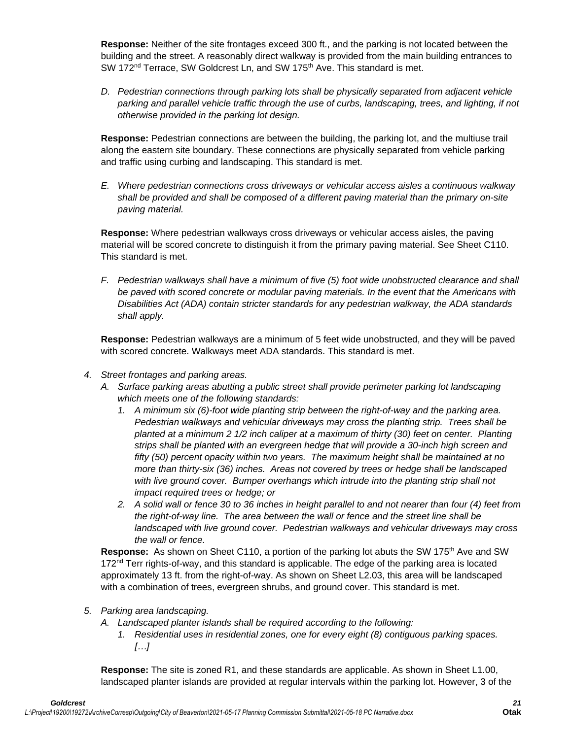**Response:** Neither of the site frontages exceed 300 ft., and the parking is not located between the building and the street. A reasonably direct walkway is provided from the main building entrances to SW 172<sup>nd</sup> Terrace, SW Goldcrest Ln, and SW 175<sup>th</sup> Ave. This standard is met.

*D. Pedestrian connections through parking lots shall be physically separated from adjacent vehicle parking and parallel vehicle traffic through the use of curbs, landscaping, trees, and lighting, if not otherwise provided in the parking lot design.*

**Response:** Pedestrian connections are between the building, the parking lot, and the multiuse trail along the eastern site boundary. These connections are physically separated from vehicle parking and traffic using curbing and landscaping. This standard is met.

*E. Where pedestrian connections cross driveways or vehicular access aisles a continuous walkway shall be provided and shall be composed of a different paving material than the primary on-site paving material.*

**Response:** Where pedestrian walkways cross driveways or vehicular access aisles, the paving material will be scored concrete to distinguish it from the primary paving material. See Sheet C110. This standard is met.

*F. Pedestrian walkways shall have a minimum of five (5) foot wide unobstructed clearance and shall be paved with scored concrete or modular paving materials. In the event that the Americans with Disabilities Act (ADA) contain stricter standards for any pedestrian walkway, the ADA standards shall apply.* 

**Response:** Pedestrian walkways are a minimum of 5 feet wide unobstructed, and they will be paved with scored concrete. Walkways meet ADA standards. This standard is met.

- *4. Street frontages and parking areas.*
	- *A. Surface parking areas abutting a public street shall provide perimeter parking lot landscaping which meets one of the following standards:*
		- *1. A minimum six (6)-foot wide planting strip between the right-of-way and the parking area. Pedestrian walkways and vehicular driveways may cross the planting strip. Trees shall be planted at a minimum 2 1/2 inch caliper at a maximum of thirty (30) feet on center. Planting strips shall be planted with an evergreen hedge that will provide a 30-inch high screen and fifty (50) percent opacity within two years. The maximum height shall be maintained at no more than thirty-six (36) inches. Areas not covered by trees or hedge shall be landscaped with live ground cover. Bumper overhangs which intrude into the planting strip shall not impact required trees or hedge; or*
		- *2. A solid wall or fence 30 to 36 inches in height parallel to and not nearer than four (4) feet from the right-of-way line. The area between the wall or fence and the street line shall be landscaped with live ground cover. Pedestrian walkways and vehicular driveways may cross the wall or fence.*

**Response:** As shown on Sheet C110, a portion of the parking lot abuts the SW 175<sup>th</sup> Ave and SW  $172<sup>nd</sup>$  Terr rights-of-way, and this standard is applicable. The edge of the parking area is located approximately 13 ft. from the right-of-way. As shown on Sheet L2.03, this area will be landscaped with a combination of trees, evergreen shrubs, and ground cover. This standard is met.

- *5. Parking area landscaping.*
	- *A. Landscaped planter islands shall be required according to the following:*
		- *1. Residential uses in residential zones, one for every eight (8) contiguous parking spaces. […]*

**Response:** The site is zoned R1, and these standards are applicable. As shown in Sheet L1.00, landscaped planter islands are provided at regular intervals within the parking lot. However, 3 of the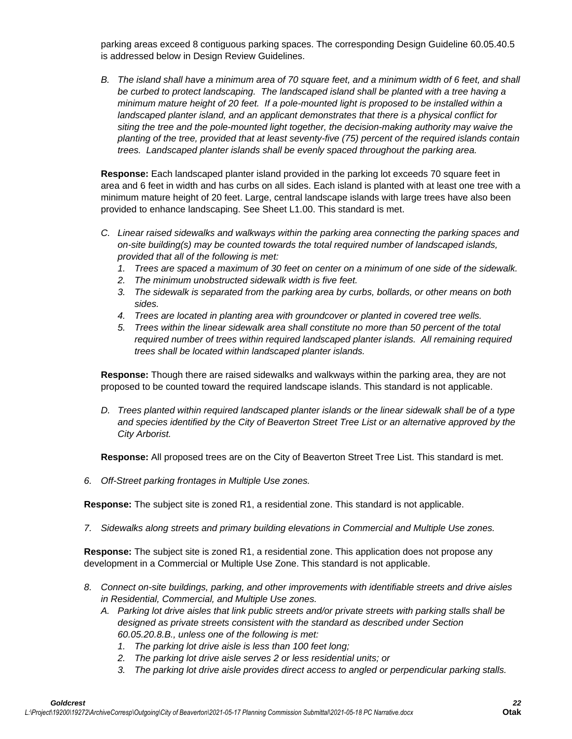parking areas exceed 8 contiguous parking spaces. The corresponding Design Guideline 60.05.40.5 is addressed below in Design Review Guidelines.

*B. The island shall have a minimum area of 70 square feet, and a minimum width of 6 feet, and shall be curbed to protect landscaping. The landscaped island shall be planted with a tree having a minimum mature height of 20 feet. If a pole-mounted light is proposed to be installed within a landscaped planter island, and an applicant demonstrates that there is a physical conflict for siting the tree and the pole-mounted light together, the decision-making authority may waive the planting of the tree, provided that at least seventy-five (75) percent of the required islands contain trees. Landscaped planter islands shall be evenly spaced throughout the parking area.*

**Response:** Each landscaped planter island provided in the parking lot exceeds 70 square feet in area and 6 feet in width and has curbs on all sides. Each island is planted with at least one tree with a minimum mature height of 20 feet. Large, central landscape islands with large trees have also been provided to enhance landscaping. See Sheet L1.00. This standard is met.

- *C. Linear raised sidewalks and walkways within the parking area connecting the parking spaces and on-site building(s) may be counted towards the total required number of landscaped islands, provided that all of the following is met:*
	- *1. Trees are spaced a maximum of 30 feet on center on a minimum of one side of the sidewalk.*
	- *2. The minimum unobstructed sidewalk width is five feet.*
	- *3. The sidewalk is separated from the parking area by curbs, bollards, or other means on both sides.*
	- *4. Trees are located in planting area with groundcover or planted in covered tree wells.*
	- *5. Trees within the linear sidewalk area shall constitute no more than 50 percent of the total required number of trees within required landscaped planter islands. All remaining required trees shall be located within landscaped planter islands.*

**Response:** Though there are raised sidewalks and walkways within the parking area, they are not proposed to be counted toward the required landscape islands. This standard is not applicable.

*D. Trees planted within required landscaped planter islands or the linear sidewalk shall be of a type and species identified by the City of Beaverton Street Tree List or an alternative approved by the City Arborist.*

**Response:** All proposed trees are on the City of Beaverton Street Tree List. This standard is met.

*6. Off-Street parking frontages in Multiple Use zones.* 

**Response:** The subject site is zoned R1, a residential zone. This standard is not applicable.

*7. Sidewalks along streets and primary building elevations in Commercial and Multiple Use zones.* 

**Response:** The subject site is zoned R1, a residential zone. This application does not propose any development in a Commercial or Multiple Use Zone. This standard is not applicable.

- *8. Connect on-site buildings, parking, and other improvements with identifiable streets and drive aisles in Residential, Commercial, and Multiple Use zones.* 
	- *A. Parking lot drive aisles that link public streets and/or private streets with parking stalls shall be designed as private streets consistent with the standard as described under Section 60.05.20.8.B., unless one of the following is met:*
		- *1. The parking lot drive aisle is less than 100 feet long;*
		- *2. The parking lot drive aisle serves 2 or less residential units; or*
		- *3. The parking lot drive aisle provides direct access to angled or perpendicular parking stalls.*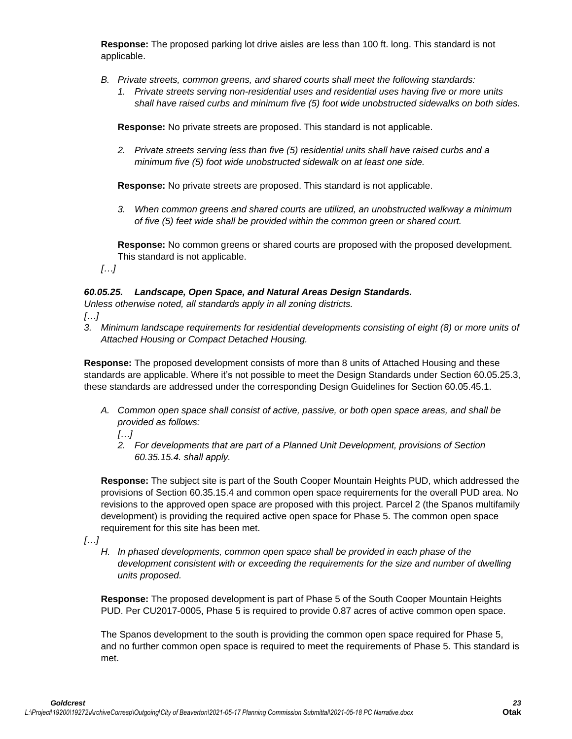**Response:** The proposed parking lot drive aisles are less than 100 ft. long. This standard is not applicable.

- *B. Private streets, common greens, and shared courts shall meet the following standards:*
	- *1. Private streets serving non-residential uses and residential uses having five or more units shall have raised curbs and minimum five (5) foot wide unobstructed sidewalks on both sides.*

**Response:** No private streets are proposed. This standard is not applicable.

*2. Private streets serving less than five (5) residential units shall have raised curbs and a minimum five (5) foot wide unobstructed sidewalk on at least one side.*

**Response:** No private streets are proposed. This standard is not applicable.

*3. When common greens and shared courts are utilized, an unobstructed walkway a minimum of five (5) feet wide shall be provided within the common green or shared court.* 

**Response:** No common greens or shared courts are proposed with the proposed development. This standard is not applicable.

*[…]*

# *60.05.25. Landscape, Open Space, and Natural Areas Design Standards.*

*Unless otherwise noted, all standards apply in all zoning districts.*

*[…]*

*3. Minimum landscape requirements for residential developments consisting of eight (8) or more units of Attached Housing or Compact Detached Housing.* 

**Response:** The proposed development consists of more than 8 units of Attached Housing and these standards are applicable. Where it's not possible to meet the Design Standards under Section 60.05.25.3, these standards are addressed under the corresponding Design Guidelines for Section 60.05.45.1.

*A. Common open space shall consist of active, passive, or both open space areas, and shall be provided as follows:*

*[…]*

*2. For developments that are part of a Planned Unit Development, provisions of Section 60.35.15.4. shall apply.* 

**Response:** The subject site is part of the South Cooper Mountain Heights PUD, which addressed the provisions of Section 60.35.15.4 and common open space requirements for the overall PUD area. No revisions to the approved open space are proposed with this project. Parcel 2 (the Spanos multifamily development) is providing the required active open space for Phase 5. The common open space requirement for this site has been met.

*[…]*

*H. In phased developments, common open space shall be provided in each phase of the development consistent with or exceeding the requirements for the size and number of dwelling units proposed.*

**Response:** The proposed development is part of Phase 5 of the South Cooper Mountain Heights PUD. Per CU2017-0005, Phase 5 is required to provide 0.87 acres of active common open space.

The Spanos development to the south is providing the common open space required for Phase 5, and no further common open space is required to meet the requirements of Phase 5. This standard is met.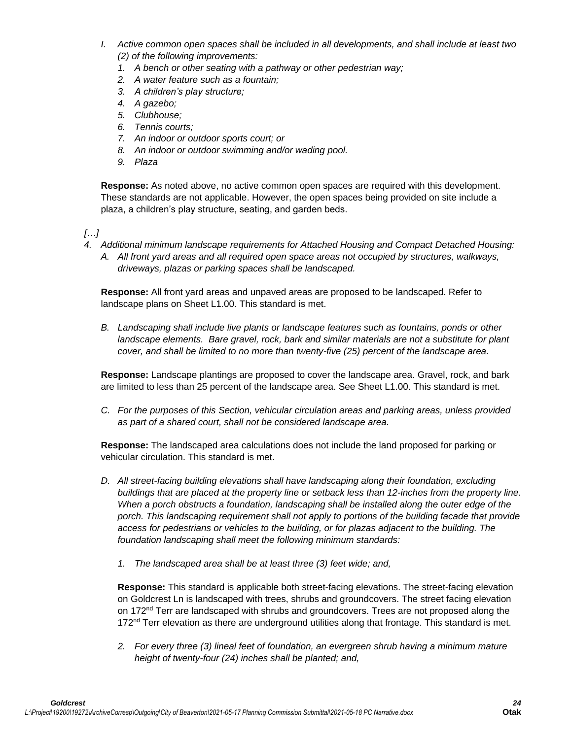- *I. Active common open spaces shall be included in all developments, and shall include at least two (2) of the following improvements:*
	- *1. A bench or other seating with a pathway or other pedestrian way;*
	- *2. A water feature such as a fountain;*
	- *3. A children's play structure;*
	- *4. A gazebo;*
	- *5. Clubhouse;*
	- *6. Tennis courts;*
	- *7. An indoor or outdoor sports court; or*
	- *8. An indoor or outdoor swimming and/or wading pool.*
	- *9. Plaza*

**Response:** As noted above, no active common open spaces are required with this development. These standards are not applicable. However, the open spaces being provided on site include a plaza, a children's play structure, seating, and garden beds.

*[…]*

*4. Additional minimum landscape requirements for Attached Housing and Compact Detached Housing: A. All front yard areas and all required open space areas not occupied by structures, walkways, driveways, plazas or parking spaces shall be landscaped.* 

**Response:** All front yard areas and unpaved areas are proposed to be landscaped. Refer to landscape plans on Sheet L1.00. This standard is met.

*B. Landscaping shall include live plants or landscape features such as fountains, ponds or other*  landscape elements. Bare gravel, rock, bark and similar materials are not a substitute for plant *cover, and shall be limited to no more than twenty-five (25) percent of the landscape area.*

**Response:** Landscape plantings are proposed to cover the landscape area. Gravel, rock, and bark are limited to less than 25 percent of the landscape area. See Sheet L1.00. This standard is met.

*C. For the purposes of this Section, vehicular circulation areas and parking areas, unless provided as part of a shared court, shall not be considered landscape area.* 

**Response:** The landscaped area calculations does not include the land proposed for parking or vehicular circulation. This standard is met.

- *D. All street-facing building elevations shall have landscaping along their foundation, excluding buildings that are placed at the property line or setback less than 12-inches from the property line. When a porch obstructs a foundation, landscaping shall be installed along the outer edge of the*  porch. This landscaping requirement shall not apply to portions of the building facade that provide *access for pedestrians or vehicles to the building, or for plazas adjacent to the building. The foundation landscaping shall meet the following minimum standards:*
	- *1. The landscaped area shall be at least three (3) feet wide; and,*

**Response:** This standard is applicable both street-facing elevations. The street-facing elevation on Goldcrest Ln is landscaped with trees, shrubs and groundcovers. The street facing elevation on 172<sup>nd</sup> Terr are landscaped with shrubs and groundcovers. Trees are not proposed along the  $172<sup>nd</sup>$  Terr elevation as there are underground utilities along that frontage. This standard is met.

*2. For every three (3) lineal feet of foundation, an evergreen shrub having a minimum mature height of twenty-four (24) inches shall be planted; and,*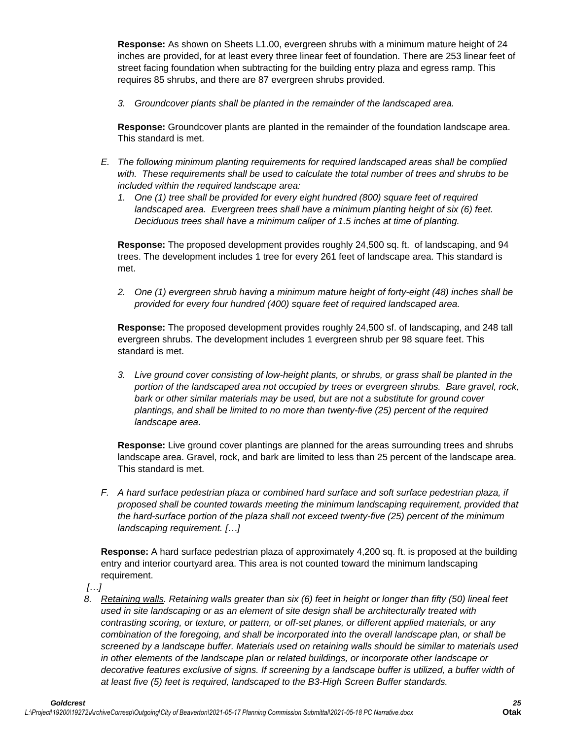**Response:** As shown on Sheets L1.00, evergreen shrubs with a minimum mature height of 24 inches are provided, for at least every three linear feet of foundation. There are 253 linear feet of street facing foundation when subtracting for the building entry plaza and egress ramp. This requires 85 shrubs, and there are 87 evergreen shrubs provided.

*3. Groundcover plants shall be planted in the remainder of the landscaped area.*

**Response:** Groundcover plants are planted in the remainder of the foundation landscape area. This standard is met.

- *E. The following minimum planting requirements for required landscaped areas shall be complied with. These requirements shall be used to calculate the total number of trees and shrubs to be included within the required landscape area:*
	- *1. One (1) tree shall be provided for every eight hundred (800) square feet of required landscaped area. Evergreen trees shall have a minimum planting height of six (6) feet. Deciduous trees shall have a minimum caliper of 1.5 inches at time of planting.*

**Response:** The proposed development provides roughly 24,500 sq. ft. of landscaping, and 94 trees. The development includes 1 tree for every 261 feet of landscape area. This standard is met.

*2. One (1) evergreen shrub having a minimum mature height of forty-eight (48) inches shall be provided for every four hundred (400) square feet of required landscaped area.*

**Response:** The proposed development provides roughly 24,500 sf. of landscaping, and 248 tall evergreen shrubs. The development includes 1 evergreen shrub per 98 square feet. This standard is met.

*3. Live ground cover consisting of low-height plants, or shrubs, or grass shall be planted in the portion of the landscaped area not occupied by trees or evergreen shrubs. Bare gravel, rock, bark or other similar materials may be used, but are not a substitute for ground cover plantings, and shall be limited to no more than twenty-five (25) percent of the required landscape area.*

**Response:** Live ground cover plantings are planned for the areas surrounding trees and shrubs landscape area. Gravel, rock, and bark are limited to less than 25 percent of the landscape area. This standard is met.

*F. A hard surface pedestrian plaza or combined hard surface and soft surface pedestrian plaza, if proposed shall be counted towards meeting the minimum landscaping requirement, provided that the hard-surface portion of the plaza shall not exceed twenty-five (25) percent of the minimum landscaping requirement. […]*

**Response:** A hard surface pedestrian plaza of approximately 4,200 sq. ft. is proposed at the building entry and interior courtyard area. This area is not counted toward the minimum landscaping requirement.

*[…]*

*8. Retaining walls. Retaining walls greater than six (6) feet in height or longer than fifty (50) lineal feet used in site landscaping or as an element of site design shall be architecturally treated with contrasting scoring, or texture, or pattern, or off-set planes, or different applied materials, or any combination of the foregoing, and shall be incorporated into the overall landscape plan, or shall be screened by a landscape buffer. Materials used on retaining walls should be similar to materials used in other elements of the landscape plan or related buildings, or incorporate other landscape or decorative features exclusive of signs. If screening by a landscape buffer is utilized, a buffer width of at least five (5) feet is required, landscaped to the B3-High Screen Buffer standards.*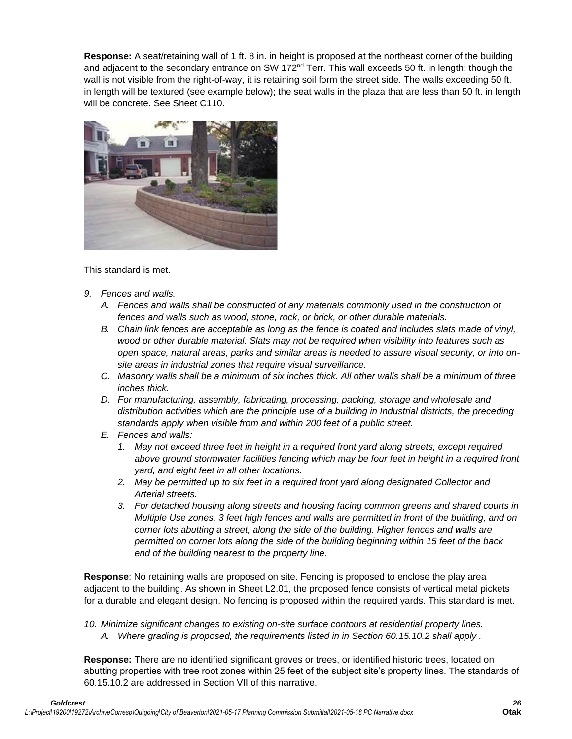**Response:** A seat/retaining wall of 1 ft. 8 in. in height is proposed at the northeast corner of the building and adjacent to the secondary entrance on SW 172 $<sup>nd</sup>$  Terr. This wall exceeds 50 ft. in length; though the</sup> wall is not visible from the right-of-way, it is retaining soil form the street side. The walls exceeding 50 ft. in length will be textured (see example below); the seat walls in the plaza that are less than 50 ft. in length will be concrete. See Sheet C110.



This standard is met.

- *9. Fences and walls.* 
	- *A. Fences and walls shall be constructed of any materials commonly used in the construction of fences and walls such as wood, stone, rock, or brick, or other durable materials.*
	- *B. Chain link fences are acceptable as long as the fence is coated and includes slats made of vinyl, wood or other durable material. Slats may not be required when visibility into features such as open space, natural areas, parks and similar areas is needed to assure visual security, or into onsite areas in industrial zones that require visual surveillance.*
	- *C. Masonry walls shall be a minimum of six inches thick. All other walls shall be a minimum of three inches thick.*
	- *D. For manufacturing, assembly, fabricating, processing, packing, storage and wholesale and distribution activities which are the principle use of a building in Industrial districts, the preceding standards apply when visible from and within 200 feet of a public street.*
	- *E. Fences and walls:*
		- *1. May not exceed three feet in height in a required front yard along streets, except required above ground stormwater facilities fencing which may be four feet in height in a required front yard, and eight feet in all other locations.*
		- *2. May be permitted up to six feet in a required front yard along designated Collector and Arterial streets.*
		- *3. For detached housing along streets and housing facing common greens and shared courts in Multiple Use zones, 3 feet high fences and walls are permitted in front of the building, and on corner lots abutting a street, along the side of the building. Higher fences and walls are permitted on corner lots along the side of the building beginning within 15 feet of the back end of the building nearest to the property line.*

**Response**: No retaining walls are proposed on site. Fencing is proposed to enclose the play area adjacent to the building. As shown in Sheet L2.01, the proposed fence consists of vertical metal pickets for a durable and elegant design. No fencing is proposed within the required yards. This standard is met.

*10. Minimize significant changes to existing on-site surface contours at residential property lines. A. Where grading is proposed, the requirements listed in in Section 60.15.10.2 shall apply .*

**Response:** There are no identified significant groves or trees, or identified historic trees, located on abutting properties with tree root zones within 25 feet of the subject site's property lines. The standards of 60.15.10.2 are addressed in Section VII of this narrative.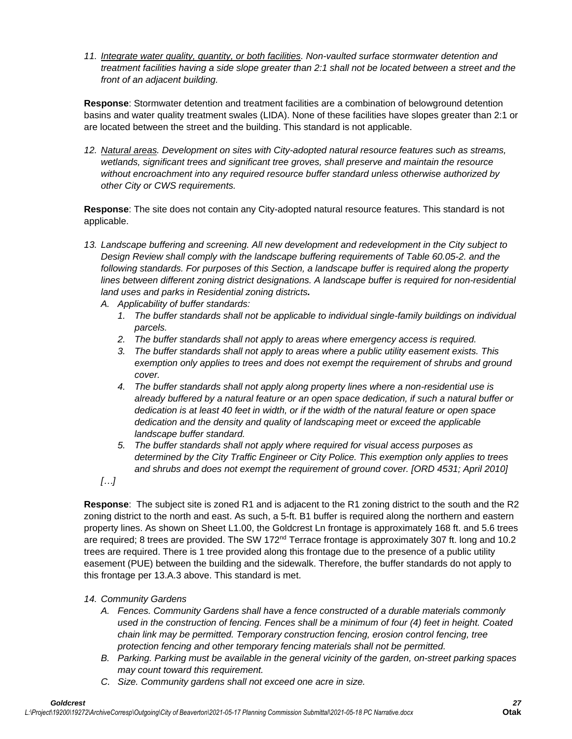*11. Integrate water quality, quantity, or both facilities. Non-vaulted surface stormwater detention and treatment facilities having a side slope greater than 2:1 shall not be located between a street and the front of an adjacent building.*

**Response**: Stormwater detention and treatment facilities are a combination of belowground detention basins and water quality treatment swales (LIDA). None of these facilities have slopes greater than 2:1 or are located between the street and the building. This standard is not applicable.

*12. Natural areas. Development on sites with City-adopted natural resource features such as streams, wetlands, significant trees and significant tree groves, shall preserve and maintain the resource without encroachment into any required resource buffer standard unless otherwise authorized by other City or CWS requirements.* 

**Response**: The site does not contain any City-adopted natural resource features. This standard is not applicable.

- *13. Landscape buffering and screening. All new development and redevelopment in the City subject to Design Review shall comply with the landscape buffering requirements of Table 60.05-2. and the following standards. For purposes of this Section, a landscape buffer is required along the property lines between different zoning district designations. A landscape buffer is required for non-residential land uses and parks in Residential zoning districts.* 
	- *A. Applicability of buffer standards:*
		- *1. The buffer standards shall not be applicable to individual single-family buildings on individual parcels.*
		- *2. The buffer standards shall not apply to areas where emergency access is required.*
		- *3. The buffer standards shall not apply to areas where a public utility easement exists. This exemption only applies to trees and does not exempt the requirement of shrubs and ground cover.*
		- *4. The buffer standards shall not apply along property lines where a non-residential use is already buffered by a natural feature or an open space dedication, if such a natural buffer or dedication is at least 40 feet in width, or if the width of the natural feature or open space dedication and the density and quality of landscaping meet or exceed the applicable landscape buffer standard.*
		- *5. The buffer standards shall not apply where required for visual access purposes as determined by the City Traffic Engineer or City Police. This exemption only applies to trees and shrubs and does not exempt the requirement of ground cover. [ORD 4531; April 2010]*

*[…]*

**Response**: The subject site is zoned R1 and is adjacent to the R1 zoning district to the south and the R2 zoning district to the north and east. As such, a 5-ft. B1 buffer is required along the northern and eastern property lines. As shown on Sheet L1.00, the Goldcrest Ln frontage is approximately 168 ft. and 5.6 trees are required; 8 trees are provided. The SW 172<sup>nd</sup> Terrace frontage is approximately 307 ft. long and 10.2 trees are required. There is 1 tree provided along this frontage due to the presence of a public utility easement (PUE) between the building and the sidewalk. Therefore, the buffer standards do not apply to this frontage per 13.A.3 above. This standard is met.

## *14. Community Gardens*

- *A. Fences. Community Gardens shall have a fence constructed of a durable materials commonly used in the construction of fencing. Fences shall be a minimum of four (4) feet in height. Coated chain link may be permitted. Temporary construction fencing, erosion control fencing, tree protection fencing and other temporary fencing materials shall not be permitted.*
- *B. Parking. Parking must be available in the general vicinity of the garden, on-street parking spaces may count toward this requirement.*
- *C. Size. Community gardens shall not exceed one acre in size.*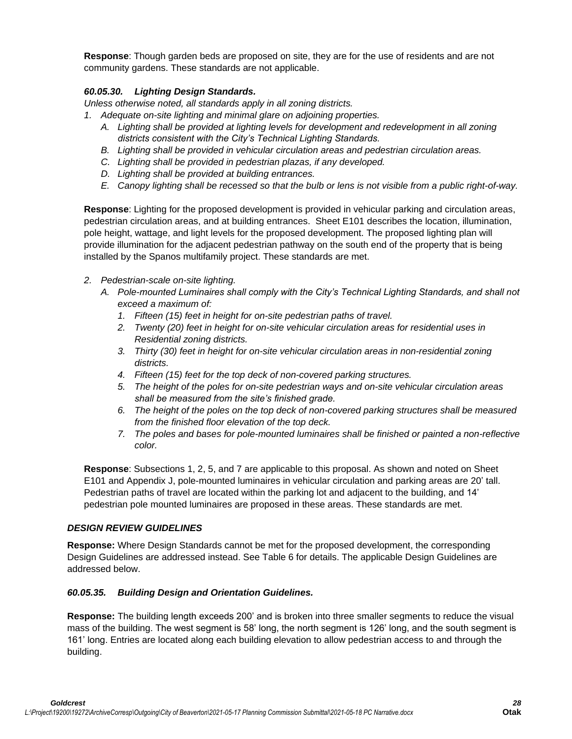**Response**: Though garden beds are proposed on site, they are for the use of residents and are not community gardens. These standards are not applicable.

# *60.05.30. Lighting Design Standards.*

*Unless otherwise noted, all standards apply in all zoning districts.*

- *1. Adequate on-site lighting and minimal glare on adjoining properties.* 
	- *A. Lighting shall be provided at lighting levels for development and redevelopment in all zoning districts consistent with the City's Technical Lighting Standards.*
	- *B. Lighting shall be provided in vehicular circulation areas and pedestrian circulation areas.*
	- *C. Lighting shall be provided in pedestrian plazas, if any developed.*
	- *D. Lighting shall be provided at building entrances.*
	- *E. Canopy lighting shall be recessed so that the bulb or lens is not visible from a public right-of-way.*

**Response**: Lighting for the proposed development is provided in vehicular parking and circulation areas, pedestrian circulation areas, and at building entrances. Sheet E101 describes the location, illumination, pole height, wattage, and light levels for the proposed development. The proposed lighting plan will provide illumination for the adjacent pedestrian pathway on the south end of the property that is being installed by the Spanos multifamily project. These standards are met.

- *2. Pedestrian-scale on-site lighting.*
	- *A. Pole-mounted Luminaires shall comply with the City's Technical Lighting Standards, and shall not exceed a maximum of:*
		- *1. Fifteen (15) feet in height for on-site pedestrian paths of travel.*
		- *2. Twenty (20) feet in height for on-site vehicular circulation areas for residential uses in Residential zoning districts.*
		- *3. Thirty (30) feet in height for on-site vehicular circulation areas in non-residential zoning districts.*
		- *4. Fifteen (15) feet for the top deck of non-covered parking structures.*
		- *5. The height of the poles for on-site pedestrian ways and on-site vehicular circulation areas shall be measured from the site's finished grade.*
		- *6. The height of the poles on the top deck of non-covered parking structures shall be measured from the finished floor elevation of the top deck.*
		- *7. The poles and bases for pole-mounted luminaires shall be finished or painted a non-reflective color.*

**Response**: Subsections 1, 2, 5, and 7 are applicable to this proposal. As shown and noted on Sheet E101 and Appendix J, pole-mounted luminaires in vehicular circulation and parking areas are 20' tall. Pedestrian paths of travel are located within the parking lot and adjacent to the building, and 14' pedestrian pole mounted luminaires are proposed in these areas. These standards are met.

## *DESIGN REVIEW GUIDELINES*

**Response:** Where Design Standards cannot be met for the proposed development, the corresponding Design Guidelines are addressed instead. See Table 6 for details. The applicable Design Guidelines are addressed below.

## *60.05.35. Building Design and Orientation Guidelines.*

**Response:** The building length exceeds 200' and is broken into three smaller segments to reduce the visual mass of the building. The west segment is 58' long, the north segment is 126' long, and the south segment is 161' long. Entries are located along each building elevation to allow pedestrian access to and through the building.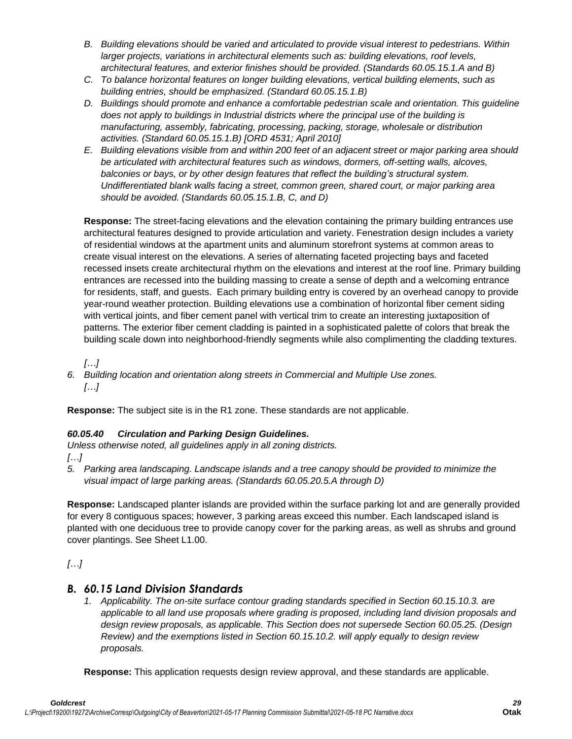- *B. Building elevations should be varied and articulated to provide visual interest to pedestrians. Within larger projects, variations in architectural elements such as: building elevations, roof levels, architectural features, and exterior finishes should be provided. (Standards 60.05.15.1.A and B)*
- *C. To balance horizontal features on longer building elevations, vertical building elements, such as building entries, should be emphasized. (Standard 60.05.15.1.B)*
- *D. Buildings should promote and enhance a comfortable pedestrian scale and orientation. This guideline does not apply to buildings in Industrial districts where the principal use of the building is manufacturing, assembly, fabricating, processing, packing, storage, wholesale or distribution activities. (Standard 60.05.15.1.B) [ORD 4531; April 2010]*
- *E. Building elevations visible from and within 200 feet of an adjacent street or major parking area should be articulated with architectural features such as windows, dormers, off-setting walls, alcoves, balconies or bays, or by other design features that reflect the building's structural system. Undifferentiated blank walls facing a street, common green, shared court, or major parking area should be avoided. (Standards 60.05.15.1.B, C, and D)*

**Response:** The street-facing elevations and the elevation containing the primary building entrances use architectural features designed to provide articulation and variety. Fenestration design includes a variety of residential windows at the apartment units and aluminum storefront systems at common areas to create visual interest on the elevations. A series of alternating faceted projecting bays and faceted recessed insets create architectural rhythm on the elevations and interest at the roof line. Primary building entrances are recessed into the building massing to create a sense of depth and a welcoming entrance for residents, staff, and guests. Each primary building entry is covered by an overhead canopy to provide year-round weather protection. Building elevations use a combination of horizontal fiber cement siding with vertical joints, and fiber cement panel with vertical trim to create an interesting juxtaposition of patterns. The exterior fiber cement cladding is painted in a sophisticated palette of colors that break the building scale down into neighborhood-friendly segments while also complimenting the cladding textures.

*[…]*

*6. Building location and orientation along streets in Commercial and Multiple Use zones. […]*

**Response:** The subject site is in the R1 zone. These standards are not applicable.

# *60.05.40 Circulation and Parking Design Guidelines.*

*Unless otherwise noted, all guidelines apply in all zoning districts.*

*[…]*

*5. Parking area landscaping. Landscape islands and a tree canopy should be provided to minimize the visual impact of large parking areas. (Standards 60.05.20.5.A through D)*

**Response:** Landscaped planter islands are provided within the surface parking lot and are generally provided for every 8 contiguous spaces; however, 3 parking areas exceed this number. Each landscaped island is planted with one deciduous tree to provide canopy cover for the parking areas, as well as shrubs and ground cover plantings. See Sheet L1.00.

*[…]*

# *B. 60.15 Land Division Standards*

*1. Applicability. The on-site surface contour grading standards specified in Section 60.15.10.3. are applicable to all land use proposals where grading is proposed, including land division proposals and design review proposals, as applicable. This Section does not supersede Section 60.05.25. (Design Review) and the exemptions listed in Section 60.15.10.2. will apply equally to design review proposals.*

**Response:** This application requests design review approval, and these standards are applicable.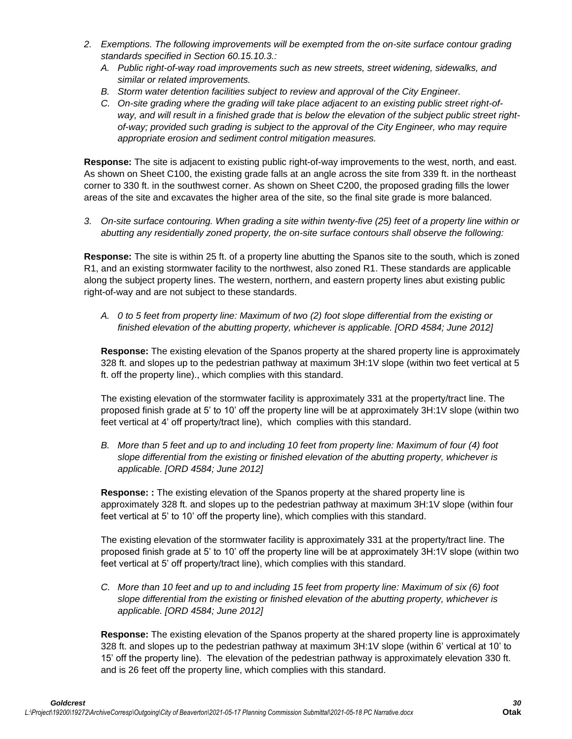- *2. Exemptions. The following improvements will be exempted from the on-site surface contour grading standards specified in Section 60.15.10.3.:*
	- *A. Public right-of-way road improvements such as new streets, street widening, sidewalks, and similar or related improvements.*
	- *B. Storm water detention facilities subject to review and approval of the City Engineer.*
	- *C. On-site grading where the grading will take place adjacent to an existing public street right-ofway, and will result in a finished grade that is below the elevation of the subject public street rightof-way; provided such grading is subject to the approval of the City Engineer, who may require appropriate erosion and sediment control mitigation measures.*

**Response:** The site is adjacent to existing public right-of-way improvements to the west, north, and east. As shown on Sheet C100, the existing grade falls at an angle across the site from 339 ft. in the northeast corner to 330 ft. in the southwest corner. As shown on Sheet C200, the proposed grading fills the lower areas of the site and excavates the higher area of the site, so the final site grade is more balanced.

*3. On-site surface contouring. When grading a site within twenty-five (25) feet of a property line within or abutting any residentially zoned property, the on-site surface contours shall observe the following:*

**Response:** The site is within 25 ft. of a property line abutting the Spanos site to the south, which is zoned R1, and an existing stormwater facility to the northwest, also zoned R1. These standards are applicable along the subject property lines. The western, northern, and eastern property lines abut existing public right-of-way and are not subject to these standards.

*A. 0 to 5 feet from property line: Maximum of two (2) foot slope differential from the existing or finished elevation of the abutting property, whichever is applicable. [ORD 4584; June 2012]*

**Response:** The existing elevation of the Spanos property at the shared property line is approximately 328 ft. and slopes up to the pedestrian pathway at maximum 3H:1V slope (within two feet vertical at 5 ft. off the property line)., which complies with this standard.

The existing elevation of the stormwater facility is approximately 331 at the property/tract line. The proposed finish grade at 5' to 10' off the property line will be at approximately 3H:1V slope (within two feet vertical at 4' off property/tract line), which complies with this standard.

*B. More than 5 feet and up to and including 10 feet from property line: Maximum of four (4) foot slope differential from the existing or finished elevation of the abutting property, whichever is applicable. [ORD 4584; June 2012]*

**Response: :** The existing elevation of the Spanos property at the shared property line is approximately 328 ft. and slopes up to the pedestrian pathway at maximum 3H:1V slope (within four feet vertical at 5' to 10' off the property line), which complies with this standard.

The existing elevation of the stormwater facility is approximately 331 at the property/tract line. The proposed finish grade at 5' to 10' off the property line will be at approximately 3H:1V slope (within two feet vertical at 5' off property/tract line), which complies with this standard.

*C. More than 10 feet and up to and including 15 feet from property line: Maximum of six (6) foot slope differential from the existing or finished elevation of the abutting property, whichever is applicable. [ORD 4584; June 2012]*

**Response:** The existing elevation of the Spanos property at the shared property line is approximately 328 ft. and slopes up to the pedestrian pathway at maximum 3H:1V slope (within 6' vertical at 10' to 15' off the property line). The elevation of the pedestrian pathway is approximately elevation 330 ft. and is 26 feet off the property line, which complies with this standard.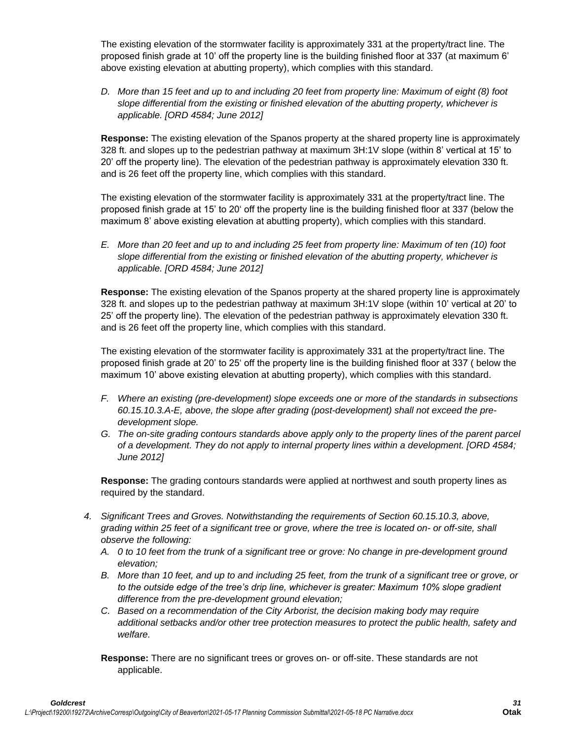The existing elevation of the stormwater facility is approximately 331 at the property/tract line. The proposed finish grade at 10' off the property line is the building finished floor at 337 (at maximum 6' above existing elevation at abutting property), which complies with this standard.

*D. More than 15 feet and up to and including 20 feet from property line: Maximum of eight (8) foot slope differential from the existing or finished elevation of the abutting property, whichever is applicable. [ORD 4584; June 2012]*

**Response:** The existing elevation of the Spanos property at the shared property line is approximately 328 ft. and slopes up to the pedestrian pathway at maximum 3H:1V slope (within 8' vertical at 15' to 20' off the property line). The elevation of the pedestrian pathway is approximately elevation 330 ft. and is 26 feet off the property line, which complies with this standard.

The existing elevation of the stormwater facility is approximately 331 at the property/tract line. The proposed finish grade at 15' to 20' off the property line is the building finished floor at 337 (below the maximum 8' above existing elevation at abutting property), which complies with this standard.

*E. More than 20 feet and up to and including 25 feet from property line: Maximum of ten (10) foot slope differential from the existing or finished elevation of the abutting property, whichever is applicable. [ORD 4584; June 2012]*

**Response:** The existing elevation of the Spanos property at the shared property line is approximately 328 ft. and slopes up to the pedestrian pathway at maximum 3H:1V slope (within 10' vertical at 20' to 25' off the property line). The elevation of the pedestrian pathway is approximately elevation 330 ft. and is 26 feet off the property line, which complies with this standard.

The existing elevation of the stormwater facility is approximately 331 at the property/tract line. The proposed finish grade at 20' to 25' off the property line is the building finished floor at 337 ( below the maximum 10' above existing elevation at abutting property), which complies with this standard.

- *F. Where an existing (pre-development) slope exceeds one or more of the standards in subsections 60.15.10.3.A-E, above, the slope after grading (post-development) shall not exceed the predevelopment slope.*
- *G. The on-site grading contours standards above apply only to the property lines of the parent parcel of a development. They do not apply to internal property lines within a development. [ORD 4584; June 2012]*

**Response:** The grading contours standards were applied at northwest and south property lines as required by the standard.

- *4. Significant Trees and Groves. Notwithstanding the requirements of Section 60.15.10.3, above, grading within 25 feet of a significant tree or grove, where the tree is located on- or off-site, shall observe the following:*
	- *A. 0 to 10 feet from the trunk of a significant tree or grove: No change in pre-development ground elevation;*
	- *B. More than 10 feet, and up to and including 25 feet, from the trunk of a significant tree or grove, or to the outside edge of the tree's drip line, whichever is greater: Maximum 10% slope gradient difference from the pre-development ground elevation;*
	- *C. Based on a recommendation of the City Arborist, the decision making body may require additional setbacks and/or other tree protection measures to protect the public health, safety and welfare.*

**Response:** There are no significant trees or groves on- or off-site. These standards are not applicable.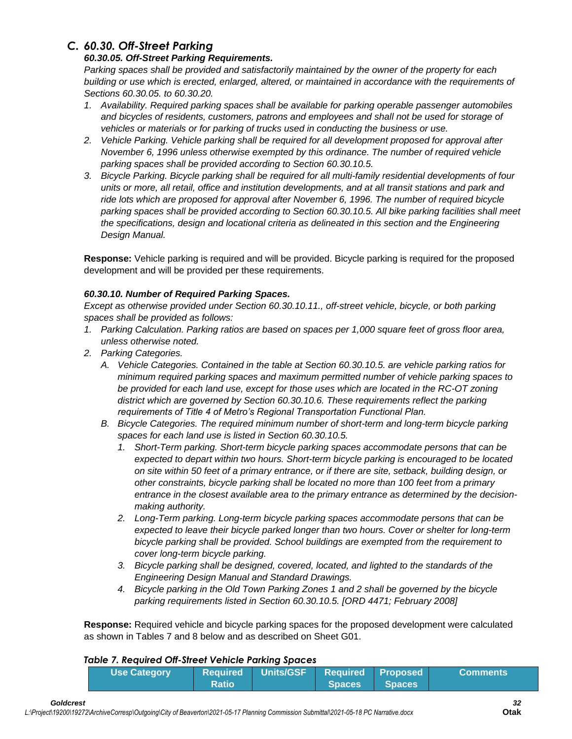# *C. 60.30. Off-Street Parking*

## *60.30.05. Off-Street Parking Requirements.*

*Parking spaces shall be provided and satisfactorily maintained by the owner of the property for each building or use which is erected, enlarged, altered, or maintained in accordance with the requirements of Sections 60.30.05. to 60.30.20.*

- *1. Availability. Required parking spaces shall be available for parking operable passenger automobiles and bicycles of residents, customers, patrons and employees and shall not be used for storage of vehicles or materials or for parking of trucks used in conducting the business or use.*
- *2. Vehicle Parking. Vehicle parking shall be required for all development proposed for approval after November 6, 1996 unless otherwise exempted by this ordinance. The number of required vehicle parking spaces shall be provided according to Section 60.30.10.5.*
- *3. Bicycle Parking. Bicycle parking shall be required for all multi-family residential developments of four units or more, all retail, office and institution developments, and at all transit stations and park and*  ride lots which are proposed for approval after November 6, 1996. The number of required bicycle *parking spaces shall be provided according to Section 60.30.10.5. All bike parking facilities shall meet the specifications, design and locational criteria as delineated in this section and the Engineering Design Manual.*

**Response:** Vehicle parking is required and will be provided. Bicycle parking is required for the proposed development and will be provided per these requirements.

# *60.30.10. Number of Required Parking Spaces.*

*Except as otherwise provided under Section 60.30.10.11., off-street vehicle, bicycle, or both parking spaces shall be provided as follows:*

- *1. Parking Calculation. Parking ratios are based on spaces per 1,000 square feet of gross floor area, unless otherwise noted.*
- *2. Parking Categories.*
	- *A. Vehicle Categories. Contained in the table at Section 60.30.10.5. are vehicle parking ratios for minimum required parking spaces and maximum permitted number of vehicle parking spaces to be provided for each land use, except for those uses which are located in the RC-OT zoning district which are governed by Section 60.30.10.6. These requirements reflect the parking requirements of Title 4 of Metro's Regional Transportation Functional Plan.*
	- *B. Bicycle Categories. The required minimum number of short-term and long-term bicycle parking spaces for each land use is listed in Section 60.30.10.5.*
		- *1. Short-Term parking. Short-term bicycle parking spaces accommodate persons that can be expected to depart within two hours. Short-term bicycle parking is encouraged to be located on site within 50 feet of a primary entrance, or if there are site, setback, building design, or other constraints, bicycle parking shall be located no more than 100 feet from a primary entrance in the closest available area to the primary entrance as determined by the decisionmaking authority.*
		- *2. Long-Term parking. Long-term bicycle parking spaces accommodate persons that can be expected to leave their bicycle parked longer than two hours. Cover or shelter for long-term bicycle parking shall be provided. School buildings are exempted from the requirement to cover long-term bicycle parking.*
		- *3. Bicycle parking shall be designed, covered, located, and lighted to the standards of the Engineering Design Manual and Standard Drawings.*
		- *4. Bicycle parking in the Old Town Parking Zones 1 and 2 shall be governed by the bicycle parking requirements listed in Section 60.30.10.5. [ORD 4471; February 2008]*

**Response:** Required vehicle and bicycle parking spaces for the proposed development were calculated as shown in Tables 7 and 8 below and as described on Sheet G01.

## *Table 7. Required Off-Street Vehicle Parking Spaces*

| <b>Use Category</b> |              | Required Units/GSF Required Proposed |               | <b>Comments</b> |
|---------------------|--------------|--------------------------------------|---------------|-----------------|
|                     | <b>Ratio</b> |                                      | Spaces Spaces |                 |

*Goldcrest 32*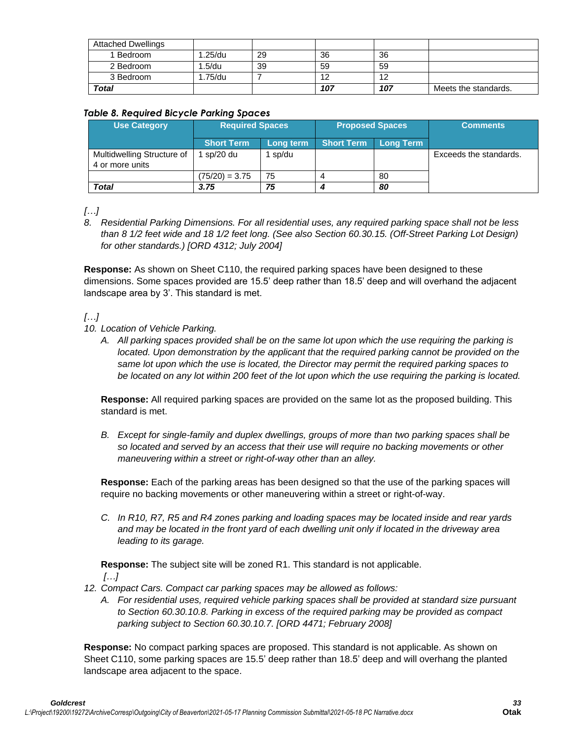| <b>Attached Dwellings</b> |            |    |     |     |                      |
|---------------------------|------------|----|-----|-----|----------------------|
| 1 Bedroom                 | $1.25$ /du | 29 | 36  | 36  |                      |
| 2 Bedroom                 | 1.5/du     | 39 | 59  | 59  |                      |
| 3 Bedroom                 | 1.75/du    |    | 12  | 12  |                      |
| <b>Total</b>              |            |    | 107 | 107 | Meets the standards. |

## *Table 8. Required Bicycle Parking Spaces*

| <b>Use Category</b>                           | <b>Required Spaces</b> |           | <b>Proposed Spaces</b> |           | <b>Comments</b>        |
|-----------------------------------------------|------------------------|-----------|------------------------|-----------|------------------------|
|                                               | <b>Short Term</b>      | Long term | <b>Short Term</b>      | Long Term |                        |
| Multidwelling Structure of<br>4 or more units | sp/20 du               | sp/du     |                        |           | Exceeds the standards. |
|                                               | $(75/20) = 3.75$       | 75        |                        | 80        |                        |
| <b>Total</b>                                  | 3.75                   | 75        |                        | 80        |                        |

*[…]*

*8. Residential Parking Dimensions. For all residential uses, any required parking space shall not be less than 8 1/2 feet wide and 18 1/2 feet long. (See also Section 60.30.15. (Off-Street Parking Lot Design) for other standards.) [ORD 4312; July 2004]*

**Response:** As shown on Sheet C110, the required parking spaces have been designed to these dimensions. Some spaces provided are 15.5' deep rather than 18.5' deep and will overhand the adjacent landscape area by 3'. This standard is met.

*[…]*

- *10. Location of Vehicle Parking.*
	- *A. All parking spaces provided shall be on the same lot upon which the use requiring the parking is located. Upon demonstration by the applicant that the required parking cannot be provided on the same lot upon which the use is located, the Director may permit the required parking spaces to be located on any lot within 200 feet of the lot upon which the use requiring the parking is located.*

**Response:** All required parking spaces are provided on the same lot as the proposed building. This standard is met.

*B. Except for single-family and duplex dwellings, groups of more than two parking spaces shall be so located and served by an access that their use will require no backing movements or other maneuvering within a street or right-of-way other than an alley.*

**Response:** Each of the parking areas has been designed so that the use of the parking spaces will require no backing movements or other maneuvering within a street or right-of-way.

*C. In R10, R7, R5 and R4 zones parking and loading spaces may be located inside and rear yards and may be located in the front yard of each dwelling unit only if located in the driveway area leading to its garage.*

**Response:** The subject site will be zoned R1. This standard is not applicable. *[…]*

- *12. Compact Cars. Compact car parking spaces may be allowed as follows:*
	- *A. For residential uses, required vehicle parking spaces shall be provided at standard size pursuant to Section 60.30.10.8. Parking in excess of the required parking may be provided as compact parking subject to Section 60.30.10.7. [ORD 4471; February 2008]*

**Response:** No compact parking spaces are proposed. This standard is not applicable. As shown on Sheet C110, some parking spaces are 15.5' deep rather than 18.5' deep and will overhang the planted landscape area adjacent to the space.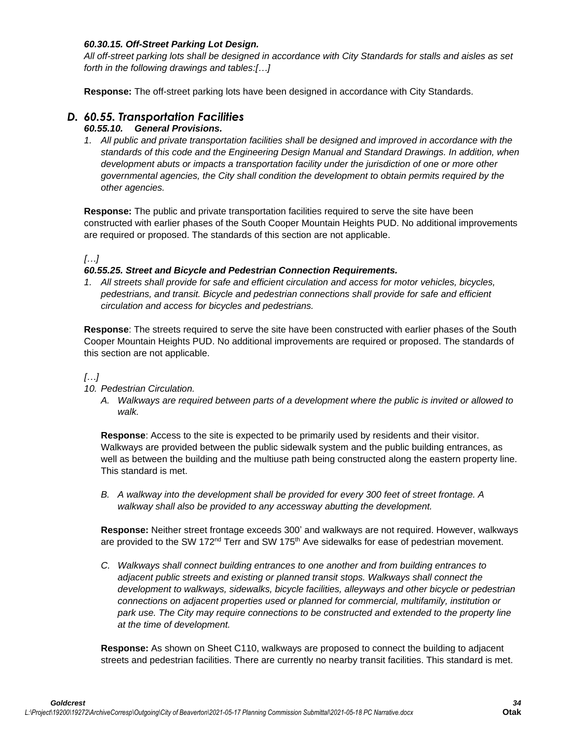## *60.30.15. Off-Street Parking Lot Design.*

*All off-street parking lots shall be designed in accordance with City Standards for stalls and aisles as set forth in the following drawings and tables:[…]*

**Response:** The off-street parking lots have been designed in accordance with City Standards.

# *D. 60.55. Transportation Facilities*

## *60.55.10. General Provisions.*

*1. All public and private transportation facilities shall be designed and improved in accordance with the standards of this code and the Engineering Design Manual and Standard Drawings. In addition, when development abuts or impacts a transportation facility under the jurisdiction of one or more other governmental agencies, the City shall condition the development to obtain permits required by the other agencies.*

**Response:** The public and private transportation facilities required to serve the site have been constructed with earlier phases of the South Cooper Mountain Heights PUD. No additional improvements are required or proposed. The standards of this section are not applicable.

## *[…]*

## *60.55.25. Street and Bicycle and Pedestrian Connection Requirements.*

*1. All streets shall provide for safe and efficient circulation and access for motor vehicles, bicycles, pedestrians, and transit. Bicycle and pedestrian connections shall provide for safe and efficient circulation and access for bicycles and pedestrians.*

**Response**: The streets required to serve the site have been constructed with earlier phases of the South Cooper Mountain Heights PUD. No additional improvements are required or proposed. The standards of this section are not applicable.

## *[…]*

## *10. Pedestrian Circulation.*

*A. Walkways are required between parts of a development where the public is invited or allowed to walk.*

**Response**: Access to the site is expected to be primarily used by residents and their visitor. Walkways are provided between the public sidewalk system and the public building entrances, as well as between the building and the multiuse path being constructed along the eastern property line. This standard is met.

*B. A walkway into the development shall be provided for every 300 feet of street frontage. A walkway shall also be provided to any accessway abutting the development.*

**Response:** Neither street frontage exceeds 300' and walkways are not required. However, walkways are provided to the SW 172<sup>nd</sup> Terr and SW 175<sup>th</sup> Ave sidewalks for ease of pedestrian movement.

*C. Walkways shall connect building entrances to one another and from building entrances to adjacent public streets and existing or planned transit stops. Walkways shall connect the development to walkways, sidewalks, bicycle facilities, alleyways and other bicycle or pedestrian connections on adjacent properties used or planned for commercial, multifamily, institution or park use. The City may require connections to be constructed and extended to the property line at the time of development.*

**Response:** As shown on Sheet C110, walkways are proposed to connect the building to adjacent streets and pedestrian facilities. There are currently no nearby transit facilities. This standard is met.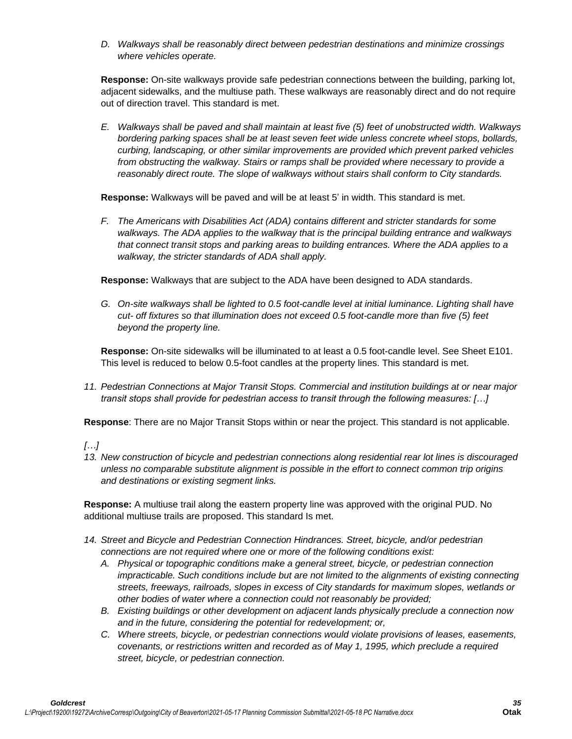*D. Walkways shall be reasonably direct between pedestrian destinations and minimize crossings where vehicles operate.*

**Response:** On-site walkways provide safe pedestrian connections between the building, parking lot, adjacent sidewalks, and the multiuse path. These walkways are reasonably direct and do not require out of direction travel. This standard is met.

*E. Walkways shall be paved and shall maintain at least five (5) feet of unobstructed width. Walkways bordering parking spaces shall be at least seven feet wide unless concrete wheel stops, bollards, curbing, landscaping, or other similar improvements are provided which prevent parked vehicles from obstructing the walkway. Stairs or ramps shall be provided where necessary to provide a reasonably direct route. The slope of walkways without stairs shall conform to City standards.*

**Response:** Walkways will be paved and will be at least 5' in width. This standard is met.

*F. The Americans with Disabilities Act (ADA) contains different and stricter standards for some walkways. The ADA applies to the walkway that is the principal building entrance and walkways that connect transit stops and parking areas to building entrances. Where the ADA applies to a walkway, the stricter standards of ADA shall apply.*

**Response:** Walkways that are subject to the ADA have been designed to ADA standards.

*G. On-site walkways shall be lighted to 0.5 foot-candle level at initial luminance. Lighting shall have cut- off fixtures so that illumination does not exceed 0.5 foot-candle more than five (5) feet beyond the property line.*

**Response:** On-site sidewalks will be illuminated to at least a 0.5 foot-candle level. See Sheet E101. This level is reduced to below 0.5-foot candles at the property lines. This standard is met.

*11. Pedestrian Connections at Major Transit Stops. Commercial and institution buildings at or near major transit stops shall provide for pedestrian access to transit through the following measures: […]*

**Response**: There are no Major Transit Stops within or near the project. This standard is not applicable.

# *[…]*

*13. New construction of bicycle and pedestrian connections along residential rear lot lines is discouraged unless no comparable substitute alignment is possible in the effort to connect common trip origins and destinations or existing segment links.*

**Response:** A multiuse trail along the eastern property line was approved with the original PUD. No additional multiuse trails are proposed. This standard Is met.

- *14. Street and Bicycle and Pedestrian Connection Hindrances. Street, bicycle, and/or pedestrian connections are not required where one or more of the following conditions exist:*
	- *A. Physical or topographic conditions make a general street, bicycle, or pedestrian connection impracticable. Such conditions include but are not limited to the alignments of existing connecting streets, freeways, railroads, slopes in excess of City standards for maximum slopes, wetlands or other bodies of water where a connection could not reasonably be provided;*
	- *B. Existing buildings or other development on adjacent lands physically preclude a connection now and in the future, considering the potential for redevelopment; or,*
	- *C. Where streets, bicycle, or pedestrian connections would violate provisions of leases, easements, covenants, or restrictions written and recorded as of May 1, 1995, which preclude a required street, bicycle, or pedestrian connection.*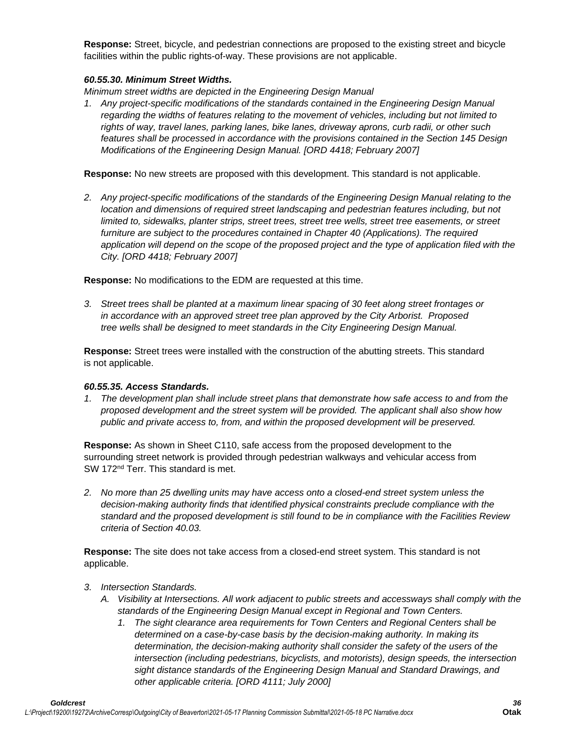**Response:** Street, bicycle, and pedestrian connections are proposed to the existing street and bicycle facilities within the public rights-of-way. These provisions are not applicable.

## *60.55.30. Minimum Street Widths.*

*Minimum street widths are depicted in the Engineering Design Manual*

*1. Any project-specific modifications of the standards contained in the Engineering Design Manual regarding the widths of features relating to the movement of vehicles, including but not limited to rights of way, travel lanes, parking lanes, bike lanes, driveway aprons, curb radii, or other such features shall be processed in accordance with the provisions contained in the Section 145 Design Modifications of the Engineering Design Manual. [ORD 4418; February 2007]*

**Response:** No new streets are proposed with this development. This standard is not applicable.

*2. Any project-specific modifications of the standards of the Engineering Design Manual relating to the location and dimensions of required street landscaping and pedestrian features including, but not limited to, sidewalks, planter strips, street trees, street tree wells, street tree easements, or street* furniture are subject to the procedures contained in Chapter 40 (Applications). The required *application will depend on the scope of the proposed project and the type of application filed with the City. [ORD 4418; February 2007]*

**Response:** No modifications to the EDM are requested at this time.

*3. Street trees shall be planted at a maximum linear spacing of 30 feet along street frontages or in accordance with an approved street tree plan approved by the City Arborist. Proposed tree wells shall be designed to meet standards in the City Engineering Design Manual.* 

**Response:** Street trees were installed with the construction of the abutting streets. This standard is not applicable.

#### *60.55.35. Access Standards.*

*1. The development plan shall include street plans that demonstrate how safe access to and from the proposed development and the street system will be provided. The applicant shall also show how public and private access to, from, and within the proposed development will be preserved.*

**Response:** As shown in Sheet C110, safe access from the proposed development to the surrounding street network is provided through pedestrian walkways and vehicular access from SW 172<sup>nd</sup> Terr. This standard is met.

*2. No more than 25 dwelling units may have access onto a closed-end street system unless the decision-making authority finds that identified physical constraints preclude compliance with the standard and the proposed development is still found to be in compliance with the Facilities Review criteria of Section 40.03.*

**Response:** The site does not take access from a closed-end street system. This standard is not applicable.

- *3. Intersection Standards.*
	- *A. Visibility at Intersections. All work adjacent to public streets and accessways shall comply with the standards of the Engineering Design Manual except in Regional and Town Centers.*
		- *1. The sight clearance area requirements for Town Centers and Regional Centers shall be determined on a case-by-case basis by the decision-making authority. In making its determination, the decision-making authority shall consider the safety of the users of the intersection (including pedestrians, bicyclists, and motorists), design speeds, the intersection sight distance standards of the Engineering Design Manual and Standard Drawings, and other applicable criteria. [ORD 4111; July 2000]*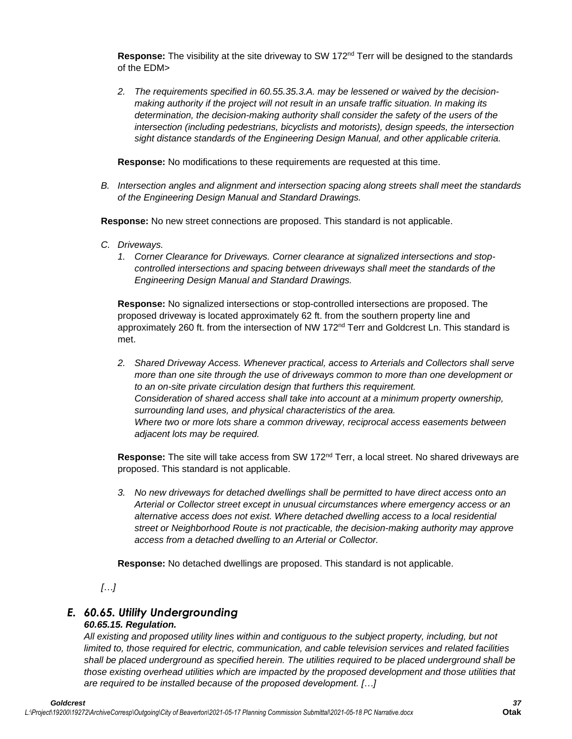Response: The visibility at the site driveway to SW 172<sup>nd</sup> Terr will be designed to the standards of the EDM>

*2. The requirements specified in 60.55.35.3.A. may be lessened or waived by the decisionmaking authority if the project will not result in an unsafe traffic situation. In making its determination, the decision-making authority shall consider the safety of the users of the intersection (including pedestrians, bicyclists and motorists), design speeds, the intersection sight distance standards of the Engineering Design Manual, and other applicable criteria.*

**Response:** No modifications to these requirements are requested at this time.

*B. Intersection angles and alignment and intersection spacing along streets shall meet the standards of the Engineering Design Manual and Standard Drawings.*

**Response:** No new street connections are proposed. This standard is not applicable.

- *C. Driveways.*
	- *1. Corner Clearance for Driveways. Corner clearance at signalized intersections and stopcontrolled intersections and spacing between driveways shall meet the standards of the Engineering Design Manual and Standard Drawings.*

**Response:** No signalized intersections or stop-controlled intersections are proposed. The proposed driveway is located approximately 62 ft. from the southern property line and approximately 260 ft. from the intersection of NW 172<sup>nd</sup> Terr and Goldcrest Ln. This standard is met.

*2. Shared Driveway Access. Whenever practical, access to Arterials and Collectors shall serve more than one site through the use of driveways common to more than one development or to an on-site private circulation design that furthers this requirement. Consideration of shared access shall take into account at a minimum property ownership, surrounding land uses, and physical characteristics of the area. Where two or more lots share a common driveway, reciprocal access easements between adjacent lots may be required.*

Response: The site will take access from SW 172<sup>nd</sup> Terr, a local street. No shared driveways are proposed. This standard is not applicable.

*3. No new driveways for detached dwellings shall be permitted to have direct access onto an Arterial or Collector street except in unusual circumstances where emergency access or an alternative access does not exist. Where detached dwelling access to a local residential street or Neighborhood Route is not practicable, the decision-making authority may approve access from a detached dwelling to an Arterial or Collector.*

**Response:** No detached dwellings are proposed. This standard is not applicable.

*[…]*

# *E. 60.65. Utility Undergrounding*

# *60.65.15. Regulation.*

*All existing and proposed utility lines within and contiguous to the subject property, including, but not limited to, those required for electric, communication, and cable television services and related facilities shall be placed underground as specified herein. The utilities required to be placed underground shall be those existing overhead utilities which are impacted by the proposed development and those utilities that are required to be installed because of the proposed development. […]*